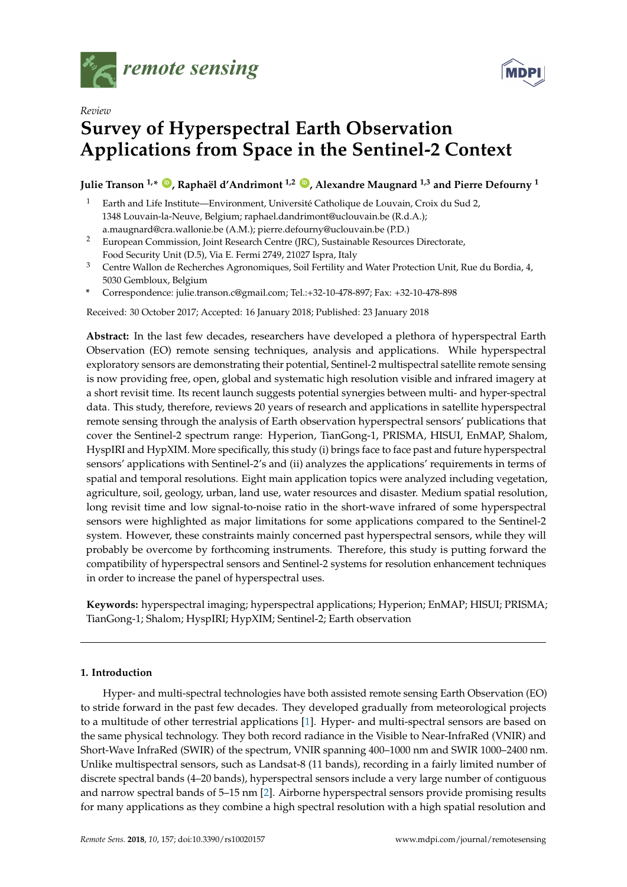



# *Review* **Survey of Hyperspectral Earth Observation Applications from Space in the Sentinel-2 Context**

# **Julie Transon 1,\* [ID](https://orcid.org/0000-0001-5355-4988) , Raphaël d'Andrimont 1,2 [ID](https://orcid.org/0000-0002-7326-7684) , Alexandre Maugnard 1,3 and Pierre Defourny <sup>1</sup>**

- <sup>1</sup> Earth and Life Institute—Environment, Université Catholique de Louvain, Croix du Sud 2, 1348 Louvain-la-Neuve, Belgium; raphael.dandrimont@uclouvain.be (R.d.A.); a.maugnard@cra.wallonie.be (A.M.); pierre.defourny@uclouvain.be (P.D.)
- <sup>2</sup> European Commission, Joint Research Centre (JRC), Sustainable Resources Directorate, Food Security Unit (D.5), Via E. Fermi 2749, 21027 Ispra, Italy
- <sup>3</sup> Centre Wallon de Recherches Agronomiques, Soil Fertility and Water Protection Unit, Rue du Bordia, 4, 5030 Gembloux, Belgium
- **\*** Correspondence: julie.transon.c@gmail.com; Tel.:+32-10-478-897; Fax: +32-10-478-898

Received: 30 October 2017; Accepted: 16 January 2018; Published: 23 January 2018

**Abstract:** In the last few decades, researchers have developed a plethora of hyperspectral Earth Observation (EO) remote sensing techniques, analysis and applications. While hyperspectral exploratory sensors are demonstrating their potential, Sentinel-2 multispectral satellite remote sensing is now providing free, open, global and systematic high resolution visible and infrared imagery at a short revisit time. Its recent launch suggests potential synergies between multi- and hyper-spectral data. This study, therefore, reviews 20 years of research and applications in satellite hyperspectral remote sensing through the analysis of Earth observation hyperspectral sensors' publications that cover the Sentinel-2 spectrum range: Hyperion, TianGong-1, PRISMA, HISUI, EnMAP, Shalom, HyspIRI and HypXIM. More specifically, this study (i) brings face to face past and future hyperspectral sensors' applications with Sentinel-2's and (ii) analyzes the applications' requirements in terms of spatial and temporal resolutions. Eight main application topics were analyzed including vegetation, agriculture, soil, geology, urban, land use, water resources and disaster. Medium spatial resolution, long revisit time and low signal-to-noise ratio in the short-wave infrared of some hyperspectral sensors were highlighted as major limitations for some applications compared to the Sentinel-2 system. However, these constraints mainly concerned past hyperspectral sensors, while they will probably be overcome by forthcoming instruments. Therefore, this study is putting forward the compatibility of hyperspectral sensors and Sentinel-2 systems for resolution enhancement techniques in order to increase the panel of hyperspectral uses.

**Keywords:** hyperspectral imaging; hyperspectral applications; Hyperion; EnMAP; HISUI; PRISMA; TianGong-1; Shalom; HyspIRI; HypXIM; Sentinel-2; Earth observation

# **1. Introduction**

Hyper- and multi-spectral technologies have both assisted remote sensing Earth Observation (EO) to stride forward in the past few decades. They developed gradually from meteorological projects to a multitude of other terrestrial applications [\[1\]](#page-21-0). Hyper- and multi-spectral sensors are based on the same physical technology. They both record radiance in the Visible to Near-InfraRed (VNIR) and Short-Wave InfraRed (SWIR) of the spectrum, VNIR spanning 400–1000 nm and SWIR 1000–2400 nm. Unlike multispectral sensors, such as Landsat-8 (11 bands), recording in a fairly limited number of discrete spectral bands (4–20 bands), hyperspectral sensors include a very large number of contiguous and narrow spectral bands of 5–15 nm [\[2\]](#page-21-1). Airborne hyperspectral sensors provide promising results for many applications as they combine a high spectral resolution with a high spatial resolution and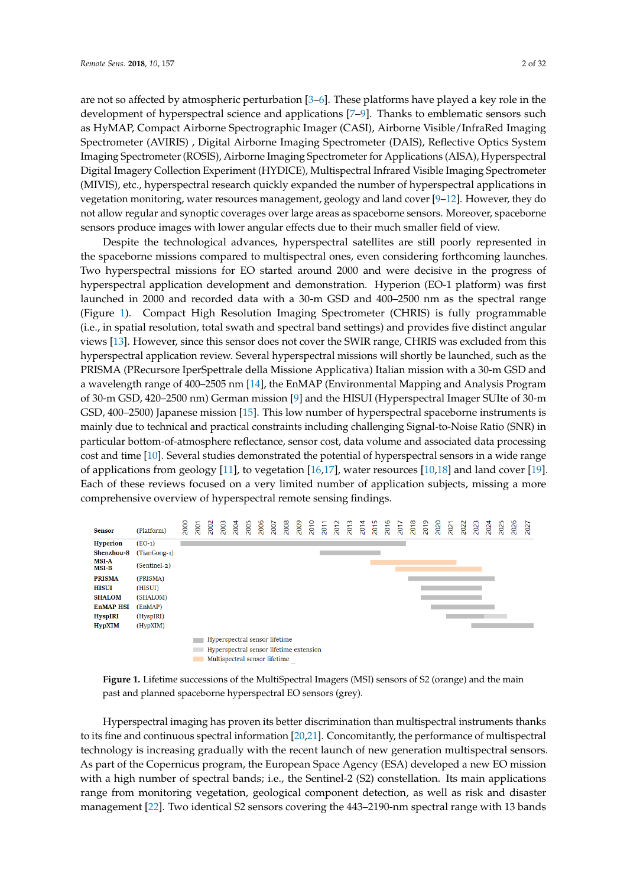are not so affected by atmospheric perturbation [\[3–](#page-21-2)[6\]](#page-21-3). These platforms have played a key role in the development of hyperspectral science and applications [\[7](#page-21-4)[–9\]](#page-21-5). Thanks to emblematic sensors such as HyMAP, Compact Airborne Spectrographic Imager (CASI), Airborne Visible/InfraRed Imaging Spectrometer (AVIRIS) , Digital Airborne Imaging Spectrometer (DAIS), Reflective Optics System Imaging Spectrometer (ROSIS), Airborne Imaging Spectrometer for Applications (AISA), Hyperspectral Digital Imagery Collection Experiment (HYDICE), Multispectral Infrared Visible Imaging Spectrometer (MIVIS), etc., hyperspectral research quickly expanded the number of hyperspectral applications in vegetation monitoring, water resources management, geology and land cover [\[9](#page-21-5)[–12\]](#page-21-6). However, they do not allow regular and synoptic coverages over large areas as spaceborne sensors. Moreover, spaceborne sensors produce images with lower angular effects due to their much smaller field of view.

Despite the technological advances, hyperspectral satellites are still poorly represented in the spaceborne missions compared to multispectral ones, even considering forthcoming launches. Two hyperspectral missions for EO started around 2000 and were decisive in the progress of hyperspectral application development and demonstration. Hyperion (EO-1 platform) was first launched in 2000 and recorded data with a 30-m GSD and 400–2500 nm as the spectral range (Figure [1\)](#page-1-0). Compact High Resolution Imaging Spectrometer (CHRIS) is fully programmable (i.e., in spatial resolution, total swath and spectral band settings) and provides five distinct angular views [\[13\]](#page-21-7). However, since this sensor does not cover the SWIR range, CHRIS was excluded from this hyperspectral application review. Several hyperspectral missions will shortly be launched, such as the PRISMA (PRecursore IperSpettrale della Missione Applicativa) Italian mission with a 30-m GSD and a wavelength range of 400–2505 nm [\[14\]](#page-22-0), the EnMAP (Environmental Mapping and Analysis Program of 30-m GSD, 420–2500 nm) German mission [\[9\]](#page-21-5) and the HISUI (Hyperspectral Imager SUIte of 30-m GSD, 400–2500) Japanese mission [\[15\]](#page-22-1). This low number of hyperspectral spaceborne instruments is mainly due to technical and practical constraints including challenging Signal-to-Noise Ratio (SNR) in particular bottom-of-atmosphere reflectance, sensor cost, data volume and associated data processing cost and time [\[10\]](#page-21-8). Several studies demonstrated the potential of hyperspectral sensors in a wide range of applications from geology [\[11\]](#page-21-9), to vegetation [\[16,](#page-22-2)[17\]](#page-22-3), water resources [\[10](#page-21-8)[,18\]](#page-22-4) and land cover [\[19\]](#page-22-5). Each of these reviews focused on a very limited number of application subjects, missing a more comprehensive overview of hyperspectral remote sensing findings.

<span id="page-1-0"></span>



Hyperspectral imaging has proven its better discrimination than multispectral instruments thanks to its fine and continuous spectral information [\[20](#page-22-6)[,21\]](#page-22-7). Concomitantly, the performance of multispectral technology is increasing gradually with the recent launch of new generation multispectral sensors. As part of the Copernicus program, the European Space Agency (ESA) developed a new EO mission with a high number of spectral bands; i.e., the Sentinel-2 (S2) constellation. Its main applications range from monitoring vegetation, geological component detection, as well as risk and disaster management [\[22\]](#page-22-8). Two identical S2 sensors covering the 443–2190-nm spectral range with 13 bands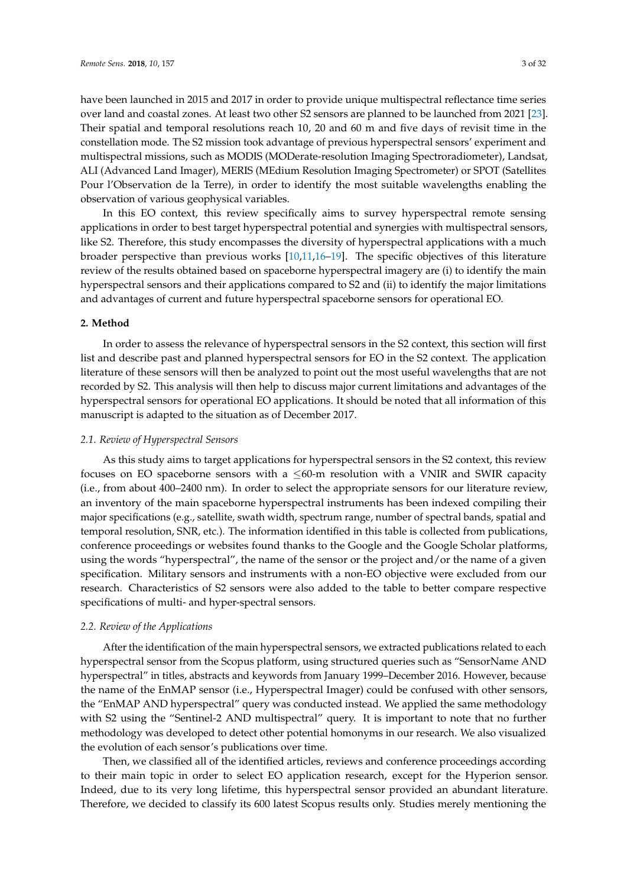have been launched in 2015 and 2017 in order to provide unique multispectral reflectance time series over land and coastal zones. At least two other S2 sensors are planned to be launched from 2021 [\[23\]](#page-22-9). Their spatial and temporal resolutions reach 10, 20 and 60 m and five days of revisit time in the constellation mode. The S2 mission took advantage of previous hyperspectral sensors' experiment and multispectral missions, such as MODIS (MODerate-resolution Imaging Spectroradiometer), Landsat, ALI (Advanced Land Imager), MERIS (MEdium Resolution Imaging Spectrometer) or SPOT (Satellites Pour l'Observation de la Terre), in order to identify the most suitable wavelengths enabling the observation of various geophysical variables.

In this EO context, this review specifically aims to survey hyperspectral remote sensing applications in order to best target hyperspectral potential and synergies with multispectral sensors, like S2. Therefore, this study encompasses the diversity of hyperspectral applications with a much broader perspective than previous works [\[10,](#page-21-8)[11,](#page-21-9)[16](#page-22-2)[–19\]](#page-22-5). The specific objectives of this literature review of the results obtained based on spaceborne hyperspectral imagery are (i) to identify the main hyperspectral sensors and their applications compared to S2 and (ii) to identify the major limitations and advantages of current and future hyperspectral spaceborne sensors for operational EO.

# **2. Method**

In order to assess the relevance of hyperspectral sensors in the S2 context, this section will first list and describe past and planned hyperspectral sensors for EO in the S2 context. The application literature of these sensors will then be analyzed to point out the most useful wavelengths that are not recorded by S2. This analysis will then help to discuss major current limitations and advantages of the hyperspectral sensors for operational EO applications. It should be noted that all information of this manuscript is adapted to the situation as of December 2017.

#### *2.1. Review of Hyperspectral Sensors*

As this study aims to target applications for hyperspectral sensors in the S2 context, this review focuses on EO spaceborne sensors with a  $\leq 60$ -m resolution with a VNIR and SWIR capacity (i.e., from about 400–2400 nm). In order to select the appropriate sensors for our literature review, an inventory of the main spaceborne hyperspectral instruments has been indexed compiling their major specifications (e.g., satellite, swath width, spectrum range, number of spectral bands, spatial and temporal resolution, SNR, etc.). The information identified in this table is collected from publications, conference proceedings or websites found thanks to the Google and the Google Scholar platforms, using the words "hyperspectral", the name of the sensor or the project and/or the name of a given specification. Military sensors and instruments with a non-EO objective were excluded from our research. Characteristics of S2 sensors were also added to the table to better compare respective specifications of multi- and hyper-spectral sensors.

# *2.2. Review of the Applications*

After the identification of the main hyperspectral sensors, we extracted publications related to each hyperspectral sensor from the Scopus platform, using structured queries such as "SensorName AND hyperspectral" in titles, abstracts and keywords from January 1999–December 2016. However, because the name of the EnMAP sensor (i.e., Hyperspectral Imager) could be confused with other sensors, the "EnMAP AND hyperspectral" query was conducted instead. We applied the same methodology with S2 using the "Sentinel-2 AND multispectral" query. It is important to note that no further methodology was developed to detect other potential homonyms in our research. We also visualized the evolution of each sensor's publications over time.

Then, we classified all of the identified articles, reviews and conference proceedings according to their main topic in order to select EO application research, except for the Hyperion sensor. Indeed, due to its very long lifetime, this hyperspectral sensor provided an abundant literature. Therefore, we decided to classify its 600 latest Scopus results only. Studies merely mentioning the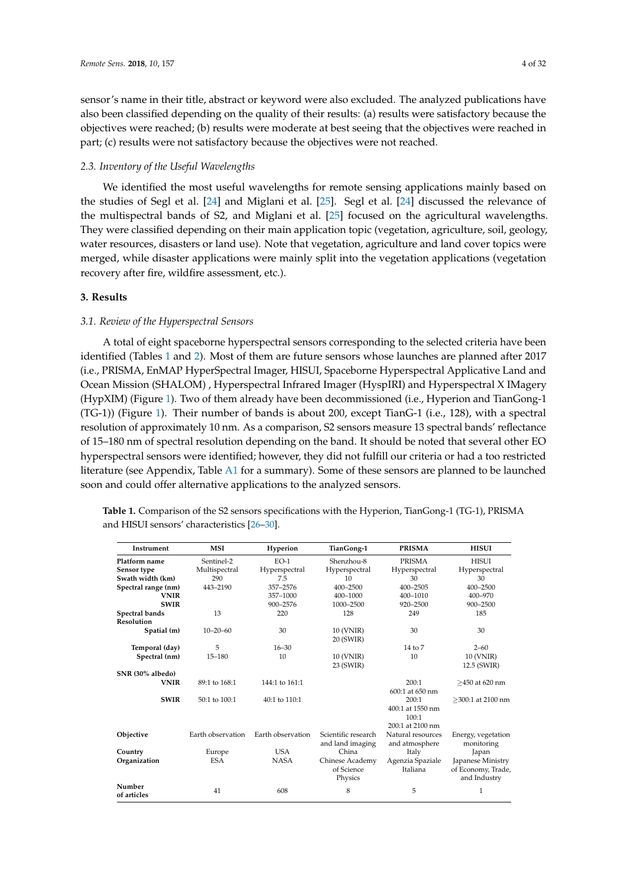sensor's name in their title, abstract or keyword were also excluded. The analyzed publications have also been classified depending on the quality of their results: (a) results were satisfactory because the objectives were reached; (b) results were moderate at best seeing that the objectives were reached in part; (c) results were not satisfactory because the objectives were not reached.

# *2.3. Inventory of the Useful Wavelengths*

We identified the most useful wavelengths for remote sensing applications mainly based on the studies of Segl et al. [\[24\]](#page-22-10) and Miglani et al. [\[25\]](#page-22-11). Segl et al. [\[24\]](#page-22-10) discussed the relevance of the multispectral bands of S2, and Miglani et al. [\[25\]](#page-22-11) focused on the agricultural wavelengths. They were classified depending on their main application topic (vegetation, agriculture, soil, geology, water resources, disasters or land use). Note that vegetation, agriculture and land cover topics were merged, while disaster applications were mainly split into the vegetation applications (vegetation recovery after fire, wildfire assessment, etc.).

# **3. Results**

# *3.1. Review of the Hyperspectral Sensors*

A total of eight spaceborne hyperspectral sensors corresponding to the selected criteria have been identified (Tables [1](#page-3-0) and [2\)](#page-4-0). Most of them are future sensors whose launches are planned after 2017 (i.e., PRISMA, EnMAP HyperSpectral Imager, HISUI, Spaceborne Hyperspectral Applicative Land and Ocean Mission (SHALOM) , Hyperspectral Infrared Imager (HyspIRI) and Hyperspectral X IMagery (HypXIM) (Figure [1\)](#page-1-0). Two of them already have been decommissioned (i.e., Hyperion and TianGong-1 (TG-1)) (Figure [1\)](#page-1-0). Their number of bands is about 200, except TianG-1 (i.e., 128), with a spectral resolution of approximately 10 nm. As a comparison, S2 sensors measure 13 spectral bands' reflectance of 15–180 nm of spectral resolution depending on the band. It should be noted that several other EO hyperspectral sensors were identified; however, they did not fulfill our criteria or had a too restricted literature (see Appendix, Table [A1](#page-3-0) for a summary). Some of these sensors are planned to be launched soon and could offer alternative applications to the analyzed sensors.

<span id="page-3-0"></span>

| Table 1. Comparison of the S2 sensors specifications with the Hyperion, TianGong-1 (TG-1), PRISMA |  |
|---------------------------------------------------------------------------------------------------|--|
| and HISUI sensors' characteristics [26–30].                                                       |  |

| <b>Instrument</b>   | <b>MSI</b>        | Hyperion          | TianGong-1          | <b>PRISMA</b>       | <b>HISUI</b>         |  |
|---------------------|-------------------|-------------------|---------------------|---------------------|----------------------|--|
| Platform name       | Sentinel-2        | $EO-1$            | Shenzhou-8          | <b>PRISMA</b>       | <b>HISUI</b>         |  |
| Sensor type         | Multispectral     | Hyperspectral     | Hyperspectral       | Hyperspectral       | Hyperspectral        |  |
| Swath width (km)    | 290               | 7.5               | 10                  | 30                  | 30                   |  |
| Spectral range (nm) | 443-2190          | 357-2576          | 400-2500            | 400-2505            | 400-2500             |  |
| <b>VNIR</b>         |                   | 357-1000          | 400-1000            | 400-1010            | 400-970              |  |
| <b>SWIR</b>         |                   | 900-2576          | 1000-2500           | 920-2500            | 900-2500             |  |
| Spectral bands      | 13                | 220               | 128                 | 249                 | 185                  |  |
| Resolution          |                   |                   |                     |                     |                      |  |
| Spatial (m)         | $10 - 20 - 60$    | 30                | 10 (VNIR)           | 30                  | 30                   |  |
|                     |                   |                   | 20 (SWIR)           |                     |                      |  |
| Temporal (day)      | 5                 | $16 - 30$         |                     | $14$ to $7$         | $2 - 60$             |  |
| Spectral (nm)       | $15 - 180$        | 10                | 10 (VNIR)           | 10                  | 10 (VNIR)            |  |
|                     |                   |                   | 23 (SWIR)           |                     | 12.5 (SWIR)          |  |
| SNR (30% albedo)    |                   |                   |                     |                     |                      |  |
| <b>VNIR</b>         | 89:1 to 168:1     | 144:1 to 161:1    |                     | 200:1               | $>450$ at 620 nm     |  |
|                     |                   |                   |                     | $600:1$ at $650$ nm |                      |  |
| <b>SWIR</b>         | 50:1 to 100:1     | 40:1 to 110:1     |                     | 200:1               | $>$ 300:1 at 2100 nm |  |
|                     |                   |                   |                     | 400:1 at 1550 nm    |                      |  |
|                     |                   |                   |                     | 100:1               |                      |  |
|                     |                   |                   |                     | 200:1 at 2100 nm    |                      |  |
| Objective           | Earth observation | Earth observation | Scientific research | Natural resources   | Energy, vegetation   |  |
|                     |                   |                   | and land imaging    | and atmosphere      | monitoring           |  |
| Country             | Europe            | <b>USA</b>        | China               | Italy               | Japan                |  |
| Organization        | <b>ESA</b>        | <b>NASA</b>       | Chinese Academy     | Agenzia Spaziale    | Japanese Ministry    |  |
|                     |                   |                   | of Science          | Italiana            | of Economy, Trade,   |  |
|                     |                   |                   | Physics             |                     | and Industry         |  |
| Number              | 41                | 608               | 8                   | 5                   | 1                    |  |
| of articles         |                   |                   |                     |                     |                      |  |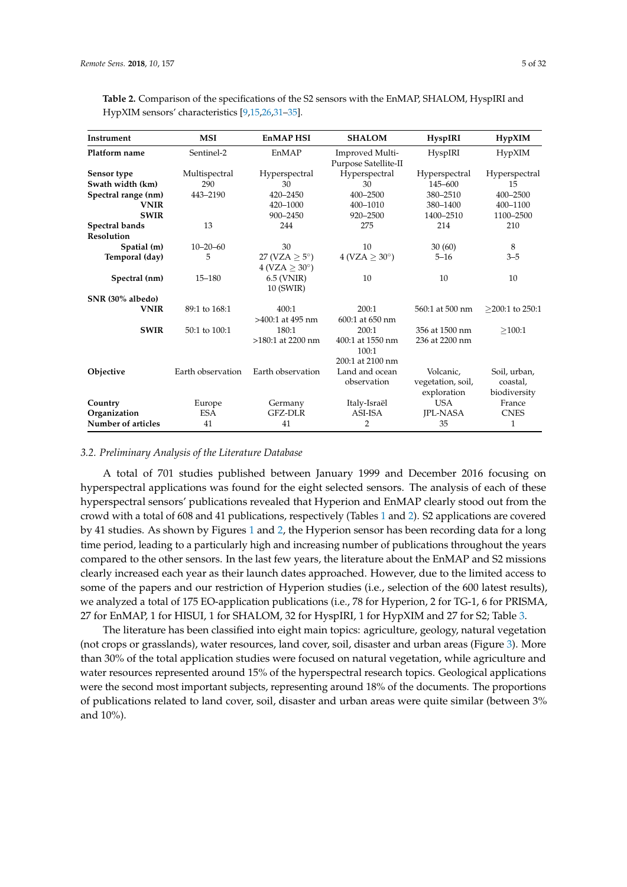| <b>Instrument</b>   | <b>MSI</b>        | <b>EnMAPHSI</b>                                  | <b>SHALOM</b>                                         | <b>HyspIRI</b>                                | HypXIM                                   |
|---------------------|-------------------|--------------------------------------------------|-------------------------------------------------------|-----------------------------------------------|------------------------------------------|
| Platform name       | Sentinel-2        | EnMAP                                            | Improved Multi-<br>Purpose Satellite-II               | HyspIRI                                       | HypXIM                                   |
| Sensor type         | Multispectral     | Hyperspectral                                    | Hyperspectral                                         | Hyperspectral                                 | Hyperspectral                            |
| Swath width (km)    | 290               | 30                                               | 30                                                    | 145-600                                       | 15                                       |
| Spectral range (nm) | 443-2190          | 420-2450                                         | 400-2500                                              | 380-2510                                      | 400-2500                                 |
| <b>VNIR</b>         |                   | 420-1000                                         | 400-1010                                              | 380-1400                                      | 400-1100                                 |
| <b>SWIR</b>         |                   | 900-2450                                         | 920-2500                                              | 1400-2510                                     | 1100-2500                                |
| Spectral bands      | 13                | 244                                              | 275                                                   | 214                                           | 210                                      |
| <b>Resolution</b>   |                   |                                                  |                                                       |                                               |                                          |
| Spatial (m)         | $10 - 20 - 60$    | 30                                               | 10                                                    | 30(60)                                        | 8                                        |
| Temporal (day)      | 5                 | 27 (VZA $\geq$ 5°)<br>$4 (VZA > 30^{\circ})$     | $4 (VZA \geq 30^{\circ})$                             | $5 - 16$                                      | $3 - 5$                                  |
| Spectral (nm)       | $15 - 180$        | $6.5$ (VNIR)<br>10 (SWIR)                        | 10                                                    | 10                                            | 10                                       |
| SNR (30% albedo)    |                   |                                                  |                                                       |                                               |                                          |
| <b>VNIR</b>         | 89:1 to 168:1     | 400:1                                            | 200:1                                                 | 560:1 at 500 nm                               | $>200:1$ to 250:1                        |
| <b>SWIR</b>         | 50:1 to 100:1     | $>400:1$ at 495 nm<br>180:1<br>>180:1 at 2200 nm | 600:1 at 650 nm<br>200:1<br>400:1 at 1550 nm<br>100:1 | 356 at 1500 nm<br>236 at 2200 nm              | >100:1                                   |
| Objective           | Earth observation | Earth observation                                | 200:1 at 2100 nm<br>Land and ocean<br>observation     | Volcanic.<br>vegetation, soil,<br>exploration | Soil, urban,<br>coastal,<br>biodiversity |
| Country             | Europe            | Germany                                          | Italy-Israël                                          | <b>USA</b>                                    | France                                   |
| Organization        | <b>ESA</b>        | GFZ-DLR                                          | ASI-ISA                                               | <b>IPL-NASA</b>                               | <b>CNES</b>                              |
| Number of articles  | 41                | 41                                               | 2                                                     | 35                                            | 1                                        |

<span id="page-4-0"></span>**Table 2.** Comparison of the specifications of the S2 sensors with the EnMAP, SHALOM, HyspIRI and HypXIM sensors' characteristics [\[9,](#page-21-5)[15,](#page-22-1)[26,](#page-22-12)[31](#page-22-14)[–35\]](#page-22-15).

## *3.2. Preliminary Analysis of the Literature Database*

A total of 701 studies published between January 1999 and December 2016 focusing on hyperspectral applications was found for the eight selected sensors. The analysis of each of these hyperspectral sensors' publications revealed that Hyperion and EnMAP clearly stood out from the crowd with a total of 608 and 41 publications, respectively (Tables [1](#page-3-0) and [2\)](#page-4-0). S2 applications are covered by 41 studies. As shown by Figures [1](#page-1-0) and [2,](#page-5-0) the Hyperion sensor has been recording data for a long time period, leading to a particularly high and increasing number of publications throughout the years compared to the other sensors. In the last few years, the literature about the EnMAP and S2 missions clearly increased each year as their launch dates approached. However, due to the limited access to some of the papers and our restriction of Hyperion studies (i.e., selection of the 600 latest results), we analyzed a total of 175 EO-application publications (i.e., 78 for Hyperion, 2 for TG-1, 6 for PRISMA, 27 for EnMAP, 1 for HISUI, 1 for SHALOM, 32 for HyspIRI, 1 for HypXIM and 27 for S2; Table [3.](#page-5-1)

The literature has been classified into eight main topics: agriculture, geology, natural vegetation (not crops or grasslands), water resources, land cover, soil, disaster and urban areas (Figure [3\)](#page-5-2). More than 30% of the total application studies were focused on natural vegetation, while agriculture and water resources represented around 15% of the hyperspectral research topics. Geological applications were the second most important subjects, representing around 18% of the documents. The proportions of publications related to land cover, soil, disaster and urban areas were quite similar (between 3% and 10%).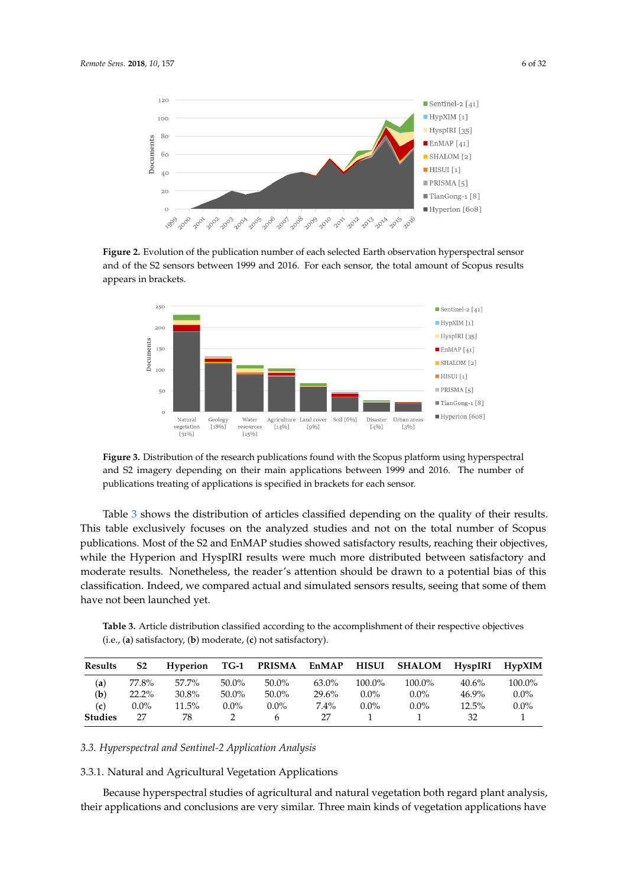<span id="page-5-0"></span>

**Figure 2.** Evolution of the publication number of each selected Earth observation hyperspectral sensor and of the S2 sensors between 1999 and 2016. For each sensor, the total amount of Scopus results appears in brackets.

<span id="page-5-2"></span>

**Figure 3.** Distribution of the research publications found with the Scopus platform using hyperspectral and S2 imagery depending on their main applications between 1999 and 2016. The number of publications treating of applications is specified in brackets for each sensor.

Table [3](#page-5-1) shows the distribution of articles classified depending on the quality of their results. This table exclusively focuses on the analyzed studies and not on the total number of Scopus publications. Most of the S2 and EnMAP studies showed satisfactory results, reaching their objectives, while the Hyperion and HyspIRI results were much more distributed between satisfactory and moderate results. Nonetheless, the reader's attention should be drawn to a potential bias of this classification. Indeed, we compared actual and simulated sensors results, seeing that some of them have not been launched yet.

<span id="page-5-1"></span>**Table 3.** Article distribution classified according to the accomplishment of their respective objectives (i.e., (**a**) satisfactory, (**b**) moderate, (**c**) not satisfactory).

| Results        | S <sub>2</sub> | <b>Hyperion</b> | TG-1     | <b>PRISMA</b> | EnMAP    | <b>HISUI</b> | <b>SHALOM</b> | HyspIRI  | HypXIM    |
|----------------|----------------|-----------------|----------|---------------|----------|--------------|---------------|----------|-----------|
| (a)            | 77.8%          | 57.7%           | $50.0\%$ | $50.0\%$      | $63.0\%$ | $100.0\%$    | $100.0\%$     | $40.6\%$ | $100.0\%$ |
| (b)            | $22.2\%$       | 30.8%           | $50.0\%$ | $50.0\%$      | 29.6%    | $0.0\%$      | $0.0\%$       | $46.9\%$ | $0.0\%$   |
| (c)            | $0.0\%$        | $11.5\%$        | $0.0\%$  | $0.0\%$       | $7.4\%$  | $0.0\%$      | $0.0\%$       | $12.5\%$ | $0.0\%$   |
| <b>Studies</b> | 27             | 78              |          |               | 27       |              |               | 32       |           |

*3.3. Hyperspectral and Sentinel-2 Application Analysis*

3.3.1. Natural and Agricultural Vegetation Applications

Because hyperspectral studies of agricultural and natural vegetation both regard plant analysis, their applications and conclusions are very similar. Three main kinds of vegetation applications have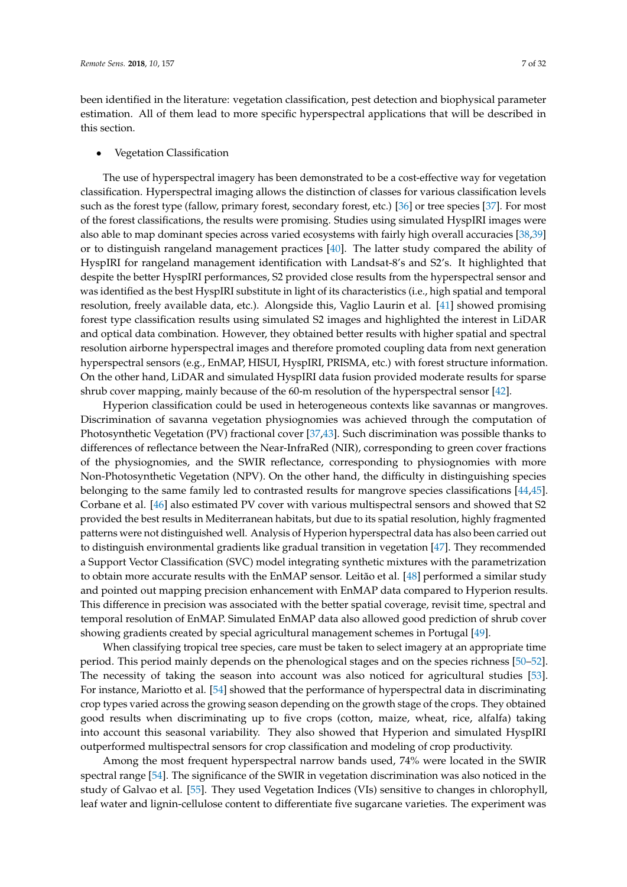been identified in the literature: vegetation classification, pest detection and biophysical parameter estimation. All of them lead to more specific hyperspectral applications that will be described in this section.

#### • Vegetation Classification

The use of hyperspectral imagery has been demonstrated to be a cost-effective way for vegetation classification. Hyperspectral imaging allows the distinction of classes for various classification levels such as the forest type (fallow, primary forest, secondary forest, etc.) [\[36\]](#page-23-0) or tree species [\[37\]](#page-23-1). For most of the forest classifications, the results were promising. Studies using simulated HyspIRI images were also able to map dominant species across varied ecosystems with fairly high overall accuracies [\[38,](#page-23-2)[39\]](#page-23-3) or to distinguish rangeland management practices [\[40\]](#page-23-4). The latter study compared the ability of HyspIRI for rangeland management identification with Landsat-8's and S2's. It highlighted that despite the better HyspIRI performances, S2 provided close results from the hyperspectral sensor and was identified as the best HyspIRI substitute in light of its characteristics (i.e., high spatial and temporal resolution, freely available data, etc.). Alongside this, Vaglio Laurin et al. [\[41\]](#page-23-5) showed promising forest type classification results using simulated S2 images and highlighted the interest in LiDAR and optical data combination. However, they obtained better results with higher spatial and spectral resolution airborne hyperspectral images and therefore promoted coupling data from next generation hyperspectral sensors (e.g., EnMAP, HISUI, HyspIRI, PRISMA, etc.) with forest structure information. On the other hand, LiDAR and simulated HyspIRI data fusion provided moderate results for sparse shrub cover mapping, mainly because of the 60-m resolution of the hyperspectral sensor [\[42\]](#page-23-6).

Hyperion classification could be used in heterogeneous contexts like savannas or mangroves. Discrimination of savanna vegetation physiognomies was achieved through the computation of Photosynthetic Vegetation (PV) fractional cover [\[37](#page-23-1)[,43\]](#page-23-7). Such discrimination was possible thanks to differences of reflectance between the Near-InfraRed (NIR), corresponding to green cover fractions of the physiognomies, and the SWIR reflectance, corresponding to physiognomies with more Non-Photosynthetic Vegetation (NPV). On the other hand, the difficulty in distinguishing species belonging to the same family led to contrasted results for mangrove species classifications [\[44,](#page-23-8)[45\]](#page-23-9). Corbane et al. [\[46\]](#page-23-10) also estimated PV cover with various multispectral sensors and showed that S2 provided the best results in Mediterranean habitats, but due to its spatial resolution, highly fragmented patterns were not distinguished well. Analysis of Hyperion hyperspectral data has also been carried out to distinguish environmental gradients like gradual transition in vegetation [\[47\]](#page-23-11). They recommended a Support Vector Classification (SVC) model integrating synthetic mixtures with the parametrization to obtain more accurate results with the EnMAP sensor. Leitão et al. [\[48\]](#page-23-12) performed a similar study and pointed out mapping precision enhancement with EnMAP data compared to Hyperion results. This difference in precision was associated with the better spatial coverage, revisit time, spectral and temporal resolution of EnMAP. Simulated EnMAP data also allowed good prediction of shrub cover showing gradients created by special agricultural management schemes in Portugal [\[49\]](#page-23-13).

When classifying tropical tree species, care must be taken to select imagery at an appropriate time period. This period mainly depends on the phenological stages and on the species richness [\[50–](#page-23-14)[52\]](#page-23-15). The necessity of taking the season into account was also noticed for agricultural studies [\[53\]](#page-23-16). For instance, Mariotto et al. [\[54\]](#page-23-17) showed that the performance of hyperspectral data in discriminating crop types varied across the growing season depending on the growth stage of the crops. They obtained good results when discriminating up to five crops (cotton, maize, wheat, rice, alfalfa) taking into account this seasonal variability. They also showed that Hyperion and simulated HyspIRI outperformed multispectral sensors for crop classification and modeling of crop productivity.

Among the most frequent hyperspectral narrow bands used, 74% were located in the SWIR spectral range [\[54\]](#page-23-17). The significance of the SWIR in vegetation discrimination was also noticed in the study of Galvao et al. [\[55\]](#page-23-18). They used Vegetation Indices (VIs) sensitive to changes in chlorophyll, leaf water and lignin-cellulose content to differentiate five sugarcane varieties. The experiment was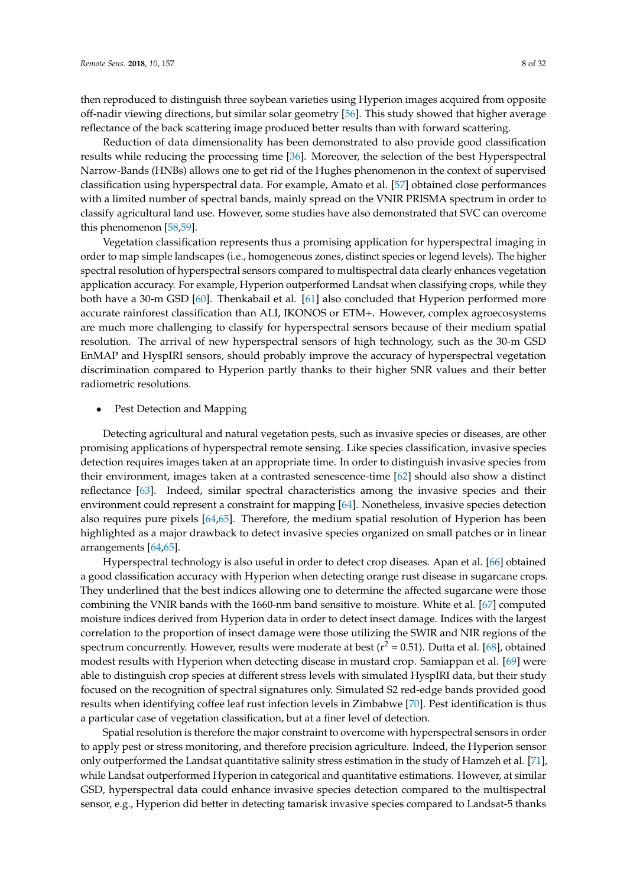then reproduced to distinguish three soybean varieties using Hyperion images acquired from opposite off-nadir viewing directions, but similar solar geometry [\[56\]](#page-24-0). This study showed that higher average reflectance of the back scattering image produced better results than with forward scattering.

Reduction of data dimensionality has been demonstrated to also provide good classification results while reducing the processing time [\[36\]](#page-23-0). Moreover, the selection of the best Hyperspectral Narrow-Bands (HNBs) allows one to get rid of the Hughes phenomenon in the context of supervised classification using hyperspectral data. For example, Amato et al. [\[57\]](#page-24-1) obtained close performances with a limited number of spectral bands, mainly spread on the VNIR PRISMA spectrum in order to classify agricultural land use. However, some studies have also demonstrated that SVC can overcome this phenomenon [\[58](#page-24-2)[,59\]](#page-24-3).

Vegetation classification represents thus a promising application for hyperspectral imaging in order to map simple landscapes (i.e., homogeneous zones, distinct species or legend levels). The higher spectral resolution of hyperspectral sensors compared to multispectral data clearly enhances vegetation application accuracy. For example, Hyperion outperformed Landsat when classifying crops, while they both have a 30-m GSD [\[60\]](#page-24-4). Thenkabail et al. [\[61\]](#page-24-5) also concluded that Hyperion performed more accurate rainforest classification than ALI, IKONOS or ETM+. However, complex agroecosystems are much more challenging to classify for hyperspectral sensors because of their medium spatial resolution. The arrival of new hyperspectral sensors of high technology, such as the 30-m GSD EnMAP and HyspIRI sensors, should probably improve the accuracy of hyperspectral vegetation discrimination compared to Hyperion partly thanks to their higher SNR values and their better radiometric resolutions.

# Pest Detection and Mapping

Detecting agricultural and natural vegetation pests, such as invasive species or diseases, are other promising applications of hyperspectral remote sensing. Like species classification, invasive species detection requires images taken at an appropriate time. In order to distinguish invasive species from their environment, images taken at a contrasted senescence-time [\[62\]](#page-24-6) should also show a distinct reflectance [\[63\]](#page-24-7). Indeed, similar spectral characteristics among the invasive species and their environment could represent a constraint for mapping [\[64\]](#page-24-8). Nonetheless, invasive species detection also requires pure pixels [\[64,](#page-24-8)[65\]](#page-24-9). Therefore, the medium spatial resolution of Hyperion has been highlighted as a major drawback to detect invasive species organized on small patches or in linear arrangements [\[64,](#page-24-8)[65\]](#page-24-9).

Hyperspectral technology is also useful in order to detect crop diseases. Apan et al. [\[66\]](#page-24-10) obtained a good classification accuracy with Hyperion when detecting orange rust disease in sugarcane crops. They underlined that the best indices allowing one to determine the affected sugarcane were those combining the VNIR bands with the 1660-nm band sensitive to moisture. White et al. [\[67\]](#page-24-11) computed moisture indices derived from Hyperion data in order to detect insect damage. Indices with the largest correlation to the proportion of insect damage were those utilizing the SWIR and NIR regions of the spectrum concurrently. However, results were moderate at best ( $r^2 = 0.51$ ). Dutta et al. [\[68\]](#page-24-12), obtained modest results with Hyperion when detecting disease in mustard crop. Samiappan et al. [\[69\]](#page-24-13) were able to distinguish crop species at different stress levels with simulated HyspIRI data, but their study focused on the recognition of spectral signatures only. Simulated S2 red-edge bands provided good results when identifying coffee leaf rust infection levels in Zimbabwe [\[70\]](#page-24-14). Pest identification is thus a particular case of vegetation classification, but at a finer level of detection.

Spatial resolution is therefore the major constraint to overcome with hyperspectral sensors in order to apply pest or stress monitoring, and therefore precision agriculture. Indeed, the Hyperion sensor only outperformed the Landsat quantitative salinity stress estimation in the study of Hamzeh et al. [\[71\]](#page-24-15), while Landsat outperformed Hyperion in categorical and quantitative estimations. However, at similar GSD, hyperspectral data could enhance invasive species detection compared to the multispectral sensor, e.g., Hyperion did better in detecting tamarisk invasive species compared to Landsat-5 thanks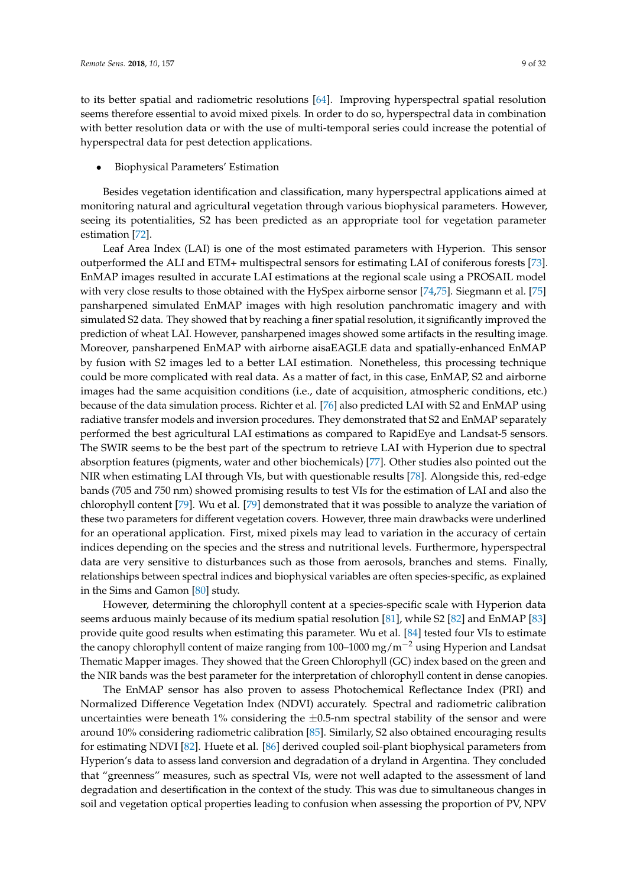to its better spatial and radiometric resolutions [\[64\]](#page-24-8). Improving hyperspectral spatial resolution seems therefore essential to avoid mixed pixels. In order to do so, hyperspectral data in combination with better resolution data or with the use of multi-temporal series could increase the potential of hyperspectral data for pest detection applications.

• Biophysical Parameters' Estimation

Besides vegetation identification and classification, many hyperspectral applications aimed at monitoring natural and agricultural vegetation through various biophysical parameters. However, seeing its potentialities, S2 has been predicted as an appropriate tool for vegetation parameter estimation [\[72\]](#page-24-16).

Leaf Area Index (LAI) is one of the most estimated parameters with Hyperion. This sensor outperformed the ALI and ETM+ multispectral sensors for estimating LAI of coniferous forests [\[73\]](#page-24-17). EnMAP images resulted in accurate LAI estimations at the regional scale using a PROSAIL model with very close results to those obtained with the HySpex airborne sensor [\[74,](#page-24-18)[75\]](#page-24-19). Siegmann et al. [\[75\]](#page-24-19) pansharpened simulated EnMAP images with high resolution panchromatic imagery and with simulated S2 data. They showed that by reaching a finer spatial resolution, it significantly improved the prediction of wheat LAI. However, pansharpened images showed some artifacts in the resulting image. Moreover, pansharpened EnMAP with airborne aisaEAGLE data and spatially-enhanced EnMAP by fusion with S2 images led to a better LAI estimation. Nonetheless, this processing technique could be more complicated with real data. As a matter of fact, in this case, EnMAP, S2 and airborne images had the same acquisition conditions (i.e., date of acquisition, atmospheric conditions, etc.) because of the data simulation process. Richter et al. [\[76\]](#page-25-0) also predicted LAI with S2 and EnMAP using radiative transfer models and inversion procedures. They demonstrated that S2 and EnMAP separately performed the best agricultural LAI estimations as compared to RapidEye and Landsat-5 sensors. The SWIR seems to be the best part of the spectrum to retrieve LAI with Hyperion due to spectral absorption features (pigments, water and other biochemicals) [\[77\]](#page-25-1). Other studies also pointed out the NIR when estimating LAI through VIs, but with questionable results [\[78\]](#page-25-2). Alongside this, red-edge bands (705 and 750 nm) showed promising results to test VIs for the estimation of LAI and also the chlorophyll content [\[79\]](#page-25-3). Wu et al. [\[79\]](#page-25-3) demonstrated that it was possible to analyze the variation of these two parameters for different vegetation covers. However, three main drawbacks were underlined for an operational application. First, mixed pixels may lead to variation in the accuracy of certain indices depending on the species and the stress and nutritional levels. Furthermore, hyperspectral data are very sensitive to disturbances such as those from aerosols, branches and stems. Finally, relationships between spectral indices and biophysical variables are often species-specific, as explained in the Sims and Gamon [\[80\]](#page-25-4) study.

However, determining the chlorophyll content at a species-specific scale with Hyperion data seems arduous mainly because of its medium spatial resolution [\[81\]](#page-25-5), while S2 [\[82\]](#page-25-6) and EnMAP [\[83\]](#page-25-7) provide quite good results when estimating this parameter. Wu et al. [\[84\]](#page-25-8) tested four VIs to estimate the canopy chlorophyll content of maize ranging from 100–1000 mg/m<sup>-2</sup> using Hyperion and Landsat Thematic Mapper images. They showed that the Green Chlorophyll (GC) index based on the green and the NIR bands was the best parameter for the interpretation of chlorophyll content in dense canopies.

The EnMAP sensor has also proven to assess Photochemical Reflectance Index (PRI) and Normalized Difference Vegetation Index (NDVI) accurately. Spectral and radiometric calibration uncertainties were beneath  $1\%$  considering the  $\pm 0.5$ -nm spectral stability of the sensor and were around 10% considering radiometric calibration [\[85\]](#page-25-9). Similarly, S2 also obtained encouraging results for estimating NDVI [\[82\]](#page-25-6). Huete et al. [\[86\]](#page-25-10) derived coupled soil-plant biophysical parameters from Hyperion's data to assess land conversion and degradation of a dryland in Argentina. They concluded that "greenness" measures, such as spectral VIs, were not well adapted to the assessment of land degradation and desertification in the context of the study. This was due to simultaneous changes in soil and vegetation optical properties leading to confusion when assessing the proportion of PV, NPV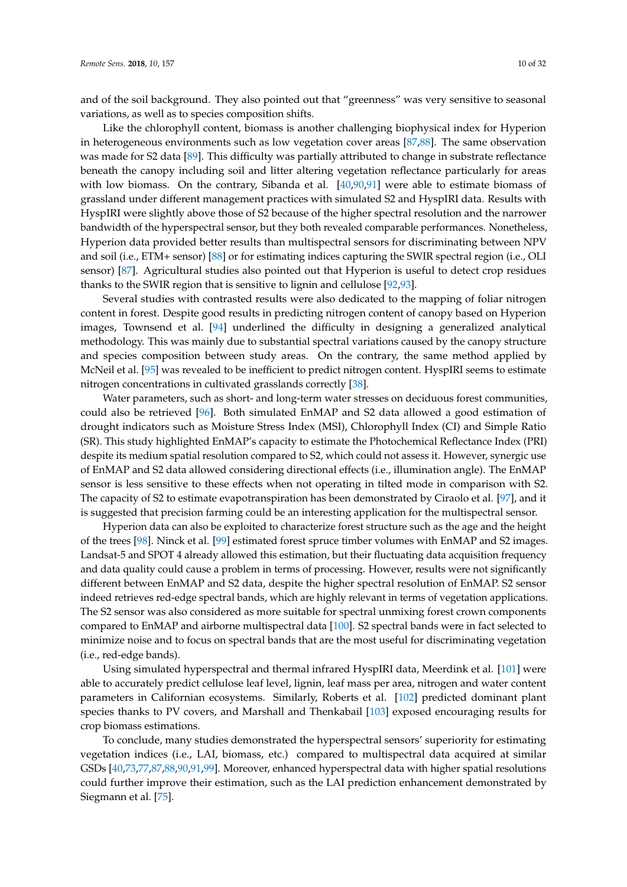and of the soil background. They also pointed out that "greenness" was very sensitive to seasonal variations, as well as to species composition shifts.

Like the chlorophyll content, biomass is another challenging biophysical index for Hyperion in heterogeneous environments such as low vegetation cover areas [\[87](#page-25-11)[,88\]](#page-25-12). The same observation was made for S2 data [\[89\]](#page-25-13). This difficulty was partially attributed to change in substrate reflectance beneath the canopy including soil and litter altering vegetation reflectance particularly for areas with low biomass. On the contrary, Sibanda et al. [\[40,](#page-23-4)[90,](#page-25-14)[91\]](#page-25-15) were able to estimate biomass of grassland under different management practices with simulated S2 and HyspIRI data. Results with HyspIRI were slightly above those of S2 because of the higher spectral resolution and the narrower bandwidth of the hyperspectral sensor, but they both revealed comparable performances. Nonetheless, Hyperion data provided better results than multispectral sensors for discriminating between NPV and soil (i.e., ETM+ sensor) [\[88\]](#page-25-12) or for estimating indices capturing the SWIR spectral region (i.e., OLI sensor) [\[87\]](#page-25-11). Agricultural studies also pointed out that Hyperion is useful to detect crop residues thanks to the SWIR region that is sensitive to lignin and cellulose [\[92](#page-25-16)[,93\]](#page-25-17).

Several studies with contrasted results were also dedicated to the mapping of foliar nitrogen content in forest. Despite good results in predicting nitrogen content of canopy based on Hyperion images, Townsend et al. [\[94\]](#page-25-18) underlined the difficulty in designing a generalized analytical methodology. This was mainly due to substantial spectral variations caused by the canopy structure and species composition between study areas. On the contrary, the same method applied by McNeil et al. [\[95\]](#page-25-19) was revealed to be inefficient to predict nitrogen content. HyspIRI seems to estimate nitrogen concentrations in cultivated grasslands correctly [\[38\]](#page-23-2).

Water parameters, such as short- and long-term water stresses on deciduous forest communities, could also be retrieved [\[96\]](#page-25-20). Both simulated EnMAP and S2 data allowed a good estimation of drought indicators such as Moisture Stress Index (MSI), Chlorophyll Index (CI) and Simple Ratio (SR). This study highlighted EnMAP's capacity to estimate the Photochemical Reflectance Index (PRI) despite its medium spatial resolution compared to S2, which could not assess it. However, synergic use of EnMAP and S2 data allowed considering directional effects (i.e., illumination angle). The EnMAP sensor is less sensitive to these effects when not operating in tilted mode in comparison with S2. The capacity of S2 to estimate evapotranspiration has been demonstrated by Ciraolo et al. [\[97\]](#page-26-0), and it is suggested that precision farming could be an interesting application for the multispectral sensor.

Hyperion data can also be exploited to characterize forest structure such as the age and the height of the trees [\[98\]](#page-26-1). Ninck et al. [\[99\]](#page-26-2) estimated forest spruce timber volumes with EnMAP and S2 images. Landsat-5 and SPOT 4 already allowed this estimation, but their fluctuating data acquisition frequency and data quality could cause a problem in terms of processing. However, results were not significantly different between EnMAP and S2 data, despite the higher spectral resolution of EnMAP. S2 sensor indeed retrieves red-edge spectral bands, which are highly relevant in terms of vegetation applications. The S2 sensor was also considered as more suitable for spectral unmixing forest crown components compared to EnMAP and airborne multispectral data [\[100\]](#page-26-3). S2 spectral bands were in fact selected to minimize noise and to focus on spectral bands that are the most useful for discriminating vegetation (i.e., red-edge bands).

Using simulated hyperspectral and thermal infrared HyspIRI data, Meerdink et al. [\[101\]](#page-26-4) were able to accurately predict cellulose leaf level, lignin, leaf mass per area, nitrogen and water content parameters in Californian ecosystems. Similarly, Roberts et al. [\[102\]](#page-26-5) predicted dominant plant species thanks to PV covers, and Marshall and Thenkabail [\[103\]](#page-26-6) exposed encouraging results for crop biomass estimations.

To conclude, many studies demonstrated the hyperspectral sensors' superiority for estimating vegetation indices (i.e., LAI, biomass, etc.) compared to multispectral data acquired at similar GSDs [\[40,](#page-23-4)[73](#page-24-17)[,77](#page-25-1)[,87](#page-25-11)[,88,](#page-25-12)[90,](#page-25-14)[91,](#page-25-15)[99\]](#page-26-2). Moreover, enhanced hyperspectral data with higher spatial resolutions could further improve their estimation, such as the LAI prediction enhancement demonstrated by Siegmann et al. [\[75\]](#page-24-19).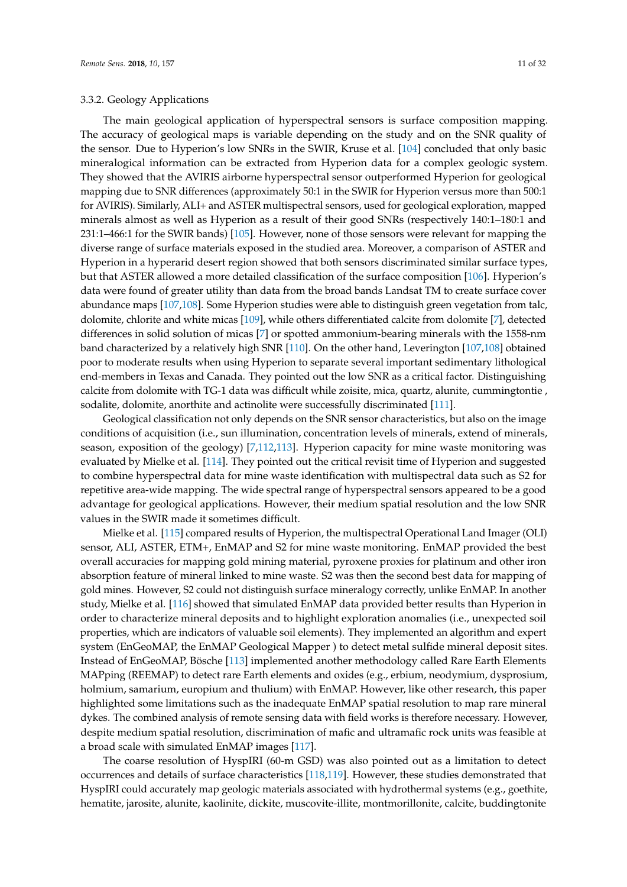# 3.3.2. Geology Applications

The main geological application of hyperspectral sensors is surface composition mapping. The accuracy of geological maps is variable depending on the study and on the SNR quality of the sensor. Due to Hyperion's low SNRs in the SWIR, Kruse et al. [\[104\]](#page-26-7) concluded that only basic mineralogical information can be extracted from Hyperion data for a complex geologic system. They showed that the AVIRIS airborne hyperspectral sensor outperformed Hyperion for geological mapping due to SNR differences (approximately 50:1 in the SWIR for Hyperion versus more than 500:1 for AVIRIS). Similarly, ALI+ and ASTER multispectral sensors, used for geological exploration, mapped minerals almost as well as Hyperion as a result of their good SNRs (respectively 140:1–180:1 and 231:1–466:1 for the SWIR bands) [\[105\]](#page-26-8). However, none of those sensors were relevant for mapping the diverse range of surface materials exposed in the studied area. Moreover, a comparison of ASTER and Hyperion in a hyperarid desert region showed that both sensors discriminated similar surface types, but that ASTER allowed a more detailed classification of the surface composition [\[106\]](#page-26-9). Hyperion's data were found of greater utility than data from the broad bands Landsat TM to create surface cover abundance maps [\[107,](#page-26-10)[108\]](#page-26-11). Some Hyperion studies were able to distinguish green vegetation from talc, dolomite, chlorite and white micas [\[109\]](#page-26-12), while others differentiated calcite from dolomite [\[7\]](#page-21-4), detected differences in solid solution of micas [\[7\]](#page-21-4) or spotted ammonium-bearing minerals with the 1558-nm band characterized by a relatively high SNR [\[110\]](#page-26-13). On the other hand, Leverington [\[107,](#page-26-10)[108\]](#page-26-11) obtained poor to moderate results when using Hyperion to separate several important sedimentary lithological end-members in Texas and Canada. They pointed out the low SNR as a critical factor. Distinguishing calcite from dolomite with TG-1 data was difficult while zoisite, mica, quartz, alunite, cummingtontie , sodalite, dolomite, anorthite and actinolite were successfully discriminated [\[111\]](#page-26-14).

Geological classification not only depends on the SNR sensor characteristics, but also on the image conditions of acquisition (i.e., sun illumination, concentration levels of minerals, extend of minerals, season, exposition of the geology) [\[7,](#page-21-4)[112,](#page-26-15)[113\]](#page-26-16). Hyperion capacity for mine waste monitoring was evaluated by Mielke et al. [\[114\]](#page-26-17). They pointed out the critical revisit time of Hyperion and suggested to combine hyperspectral data for mine waste identification with multispectral data such as S2 for repetitive area-wide mapping. The wide spectral range of hyperspectral sensors appeared to be a good advantage for geological applications. However, their medium spatial resolution and the low SNR values in the SWIR made it sometimes difficult.

Mielke et al. [\[115\]](#page-26-18) compared results of Hyperion, the multispectral Operational Land Imager (OLI) sensor, ALI, ASTER, ETM+, EnMAP and S2 for mine waste monitoring. EnMAP provided the best overall accuracies for mapping gold mining material, pyroxene proxies for platinum and other iron absorption feature of mineral linked to mine waste. S2 was then the second best data for mapping of gold mines. However, S2 could not distinguish surface mineralogy correctly, unlike EnMAP. In another study, Mielke et al. [\[116\]](#page-27-0) showed that simulated EnMAP data provided better results than Hyperion in order to characterize mineral deposits and to highlight exploration anomalies (i.e., unexpected soil properties, which are indicators of valuable soil elements). They implemented an algorithm and expert system (EnGeoMAP, the EnMAP Geological Mapper ) to detect metal sulfide mineral deposit sites. Instead of EnGeoMAP, Bösche [\[113\]](#page-26-16) implemented another methodology called Rare Earth Elements MAPping (REEMAP) to detect rare Earth elements and oxides (e.g., erbium, neodymium, dysprosium, holmium, samarium, europium and thulium) with EnMAP. However, like other research, this paper highlighted some limitations such as the inadequate EnMAP spatial resolution to map rare mineral dykes. The combined analysis of remote sensing data with field works is therefore necessary. However, despite medium spatial resolution, discrimination of mafic and ultramafic rock units was feasible at a broad scale with simulated EnMAP images [\[117\]](#page-27-1).

The coarse resolution of HyspIRI (60-m GSD) was also pointed out as a limitation to detect occurrences and details of surface characteristics [\[118](#page-27-2)[,119\]](#page-27-3). However, these studies demonstrated that HyspIRI could accurately map geologic materials associated with hydrothermal systems (e.g., goethite, hematite, jarosite, alunite, kaolinite, dickite, muscovite-illite, montmorillonite, calcite, buddingtonite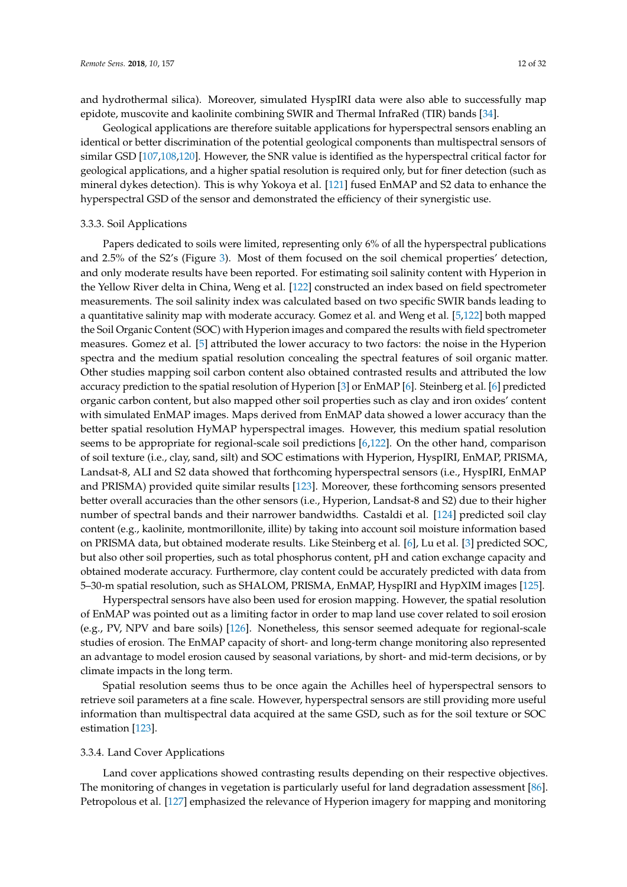and hydrothermal silica). Moreover, simulated HyspIRI data were also able to successfully map epidote, muscovite and kaolinite combining SWIR and Thermal InfraRed (TIR) bands [\[34\]](#page-22-16).

Geological applications are therefore suitable applications for hyperspectral sensors enabling an identical or better discrimination of the potential geological components than multispectral sensors of similar GSD [\[107,](#page-26-10)[108,](#page-26-11)[120\]](#page-27-4). However, the SNR value is identified as the hyperspectral critical factor for geological applications, and a higher spatial resolution is required only, but for finer detection (such as mineral dykes detection). This is why Yokoya et al. [\[121\]](#page-27-5) fused EnMAP and S2 data to enhance the hyperspectral GSD of the sensor and demonstrated the efficiency of their synergistic use.

# 3.3.3. Soil Applications

Papers dedicated to soils were limited, representing only 6% of all the hyperspectral publications and 2.5% of the S2's (Figure [3\)](#page-5-2). Most of them focused on the soil chemical properties' detection, and only moderate results have been reported. For estimating soil salinity content with Hyperion in the Yellow River delta in China, Weng et al. [\[122\]](#page-27-6) constructed an index based on field spectrometer measurements. The soil salinity index was calculated based on two specific SWIR bands leading to a quantitative salinity map with moderate accuracy. Gomez et al. and Weng et al. [\[5,](#page-21-10)[122\]](#page-27-6) both mapped the Soil Organic Content (SOC) with Hyperion images and compared the results with field spectrometer measures. Gomez et al. [\[5\]](#page-21-10) attributed the lower accuracy to two factors: the noise in the Hyperion spectra and the medium spatial resolution concealing the spectral features of soil organic matter. Other studies mapping soil carbon content also obtained contrasted results and attributed the low accuracy prediction to the spatial resolution of Hyperion [\[3\]](#page-21-2) or EnMAP [\[6\]](#page-21-3). Steinberg et al. [\[6\]](#page-21-3) predicted organic carbon content, but also mapped other soil properties such as clay and iron oxides' content with simulated EnMAP images. Maps derived from EnMAP data showed a lower accuracy than the better spatial resolution HyMAP hyperspectral images. However, this medium spatial resolution seems to be appropriate for regional-scale soil predictions [\[6,](#page-21-3)[122\]](#page-27-6). On the other hand, comparison of soil texture (i.e., clay, sand, silt) and SOC estimations with Hyperion, HyspIRI, EnMAP, PRISMA, Landsat-8, ALI and S2 data showed that forthcoming hyperspectral sensors (i.e., HyspIRI, EnMAP and PRISMA) provided quite similar results [\[123\]](#page-27-7). Moreover, these forthcoming sensors presented better overall accuracies than the other sensors (i.e., Hyperion, Landsat-8 and S2) due to their higher number of spectral bands and their narrower bandwidths. Castaldi et al. [\[124\]](#page-27-8) predicted soil clay content (e.g., kaolinite, montmorillonite, illite) by taking into account soil moisture information based on PRISMA data, but obtained moderate results. Like Steinberg et al. [\[6\]](#page-21-3), Lu et al. [\[3\]](#page-21-2) predicted SOC, but also other soil properties, such as total phosphorus content, pH and cation exchange capacity and obtained moderate accuracy. Furthermore, clay content could be accurately predicted with data from 5–30-m spatial resolution, such as SHALOM, PRISMA, EnMAP, HyspIRI and HypXIM images [\[125\]](#page-27-9).

Hyperspectral sensors have also been used for erosion mapping. However, the spatial resolution of EnMAP was pointed out as a limiting factor in order to map land use cover related to soil erosion (e.g., PV, NPV and bare soils) [\[126\]](#page-27-10). Nonetheless, this sensor seemed adequate for regional-scale studies of erosion. The EnMAP capacity of short- and long-term change monitoring also represented an advantage to model erosion caused by seasonal variations, by short- and mid-term decisions, or by climate impacts in the long term.

Spatial resolution seems thus to be once again the Achilles heel of hyperspectral sensors to retrieve soil parameters at a fine scale. However, hyperspectral sensors are still providing more useful information than multispectral data acquired at the same GSD, such as for the soil texture or SOC estimation [\[123\]](#page-27-7).

#### 3.3.4. Land Cover Applications

Land cover applications showed contrasting results depending on their respective objectives. The monitoring of changes in vegetation is particularly useful for land degradation assessment [\[86\]](#page-25-10). Petropolous et al. [\[127\]](#page-27-11) emphasized the relevance of Hyperion imagery for mapping and monitoring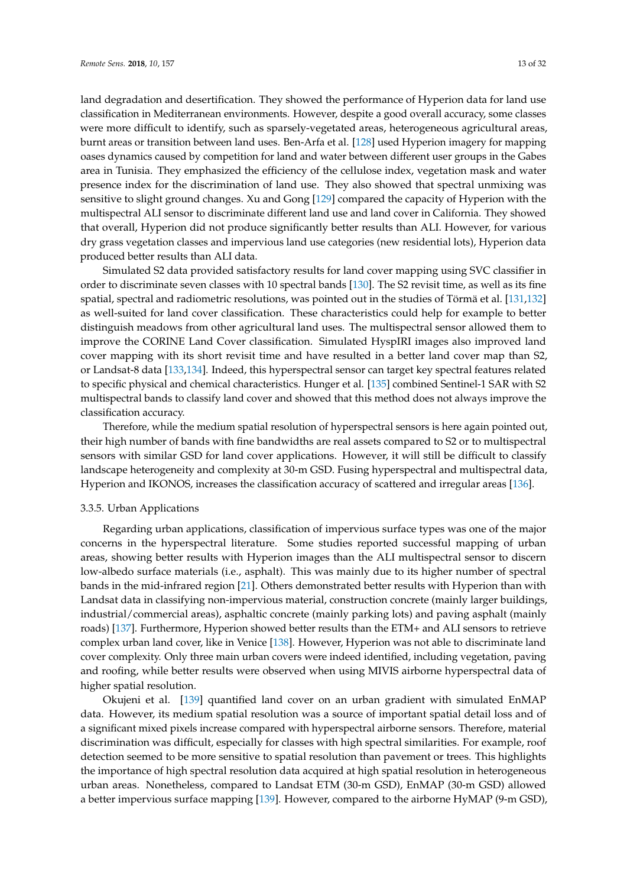land degradation and desertification. They showed the performance of Hyperion data for land use classification in Mediterranean environments. However, despite a good overall accuracy, some classes were more difficult to identify, such as sparsely-vegetated areas, heterogeneous agricultural areas, burnt areas or transition between land uses. Ben-Arfa et al. [\[128\]](#page-27-12) used Hyperion imagery for mapping oases dynamics caused by competition for land and water between different user groups in the Gabes area in Tunisia. They emphasized the efficiency of the cellulose index, vegetation mask and water presence index for the discrimination of land use. They also showed that spectral unmixing was sensitive to slight ground changes. Xu and Gong [\[129\]](#page-27-13) compared the capacity of Hyperion with the multispectral ALI sensor to discriminate different land use and land cover in California. They showed that overall, Hyperion did not produce significantly better results than ALI. However, for various dry grass vegetation classes and impervious land use categories (new residential lots), Hyperion data produced better results than ALI data.

Simulated S2 data provided satisfactory results for land cover mapping using SVC classifier in order to discriminate seven classes with 10 spectral bands [\[130\]](#page-27-14). The S2 revisit time, as well as its fine spatial, spectral and radiometric resolutions, was pointed out in the studies of Törmä et al. [\[131](#page-27-15)[,132\]](#page-27-16) as well-suited for land cover classification. These characteristics could help for example to better distinguish meadows from other agricultural land uses. The multispectral sensor allowed them to improve the CORINE Land Cover classification. Simulated HyspIRI images also improved land cover mapping with its short revisit time and have resulted in a better land cover map than S2, or Landsat-8 data [\[133,](#page-27-17)[134\]](#page-27-18). Indeed, this hyperspectral sensor can target key spectral features related to specific physical and chemical characteristics. Hunger et al. [\[135\]](#page-28-0) combined Sentinel-1 SAR with S2 multispectral bands to classify land cover and showed that this method does not always improve the classification accuracy.

Therefore, while the medium spatial resolution of hyperspectral sensors is here again pointed out, their high number of bands with fine bandwidths are real assets compared to S2 or to multispectral sensors with similar GSD for land cover applications. However, it will still be difficult to classify landscape heterogeneity and complexity at 30-m GSD. Fusing hyperspectral and multispectral data, Hyperion and IKONOS, increases the classification accuracy of scattered and irregular areas [\[136\]](#page-28-1).

## 3.3.5. Urban Applications

Regarding urban applications, classification of impervious surface types was one of the major concerns in the hyperspectral literature. Some studies reported successful mapping of urban areas, showing better results with Hyperion images than the ALI multispectral sensor to discern low-albedo surface materials (i.e., asphalt). This was mainly due to its higher number of spectral bands in the mid-infrared region [\[21\]](#page-22-7). Others demonstrated better results with Hyperion than with Landsat data in classifying non-impervious material, construction concrete (mainly larger buildings, industrial/commercial areas), asphaltic concrete (mainly parking lots) and paving asphalt (mainly roads) [\[137\]](#page-28-2). Furthermore, Hyperion showed better results than the ETM+ and ALI sensors to retrieve complex urban land cover, like in Venice [\[138\]](#page-28-3). However, Hyperion was not able to discriminate land cover complexity. Only three main urban covers were indeed identified, including vegetation, paving and roofing, while better results were observed when using MIVIS airborne hyperspectral data of higher spatial resolution.

Okujeni et al. [\[139\]](#page-28-4) quantified land cover on an urban gradient with simulated EnMAP data. However, its medium spatial resolution was a source of important spatial detail loss and of a significant mixed pixels increase compared with hyperspectral airborne sensors. Therefore, material discrimination was difficult, especially for classes with high spectral similarities. For example, roof detection seemed to be more sensitive to spatial resolution than pavement or trees. This highlights the importance of high spectral resolution data acquired at high spatial resolution in heterogeneous urban areas. Nonetheless, compared to Landsat ETM (30-m GSD), EnMAP (30-m GSD) allowed a better impervious surface mapping [\[139\]](#page-28-4). However, compared to the airborne HyMAP (9-m GSD),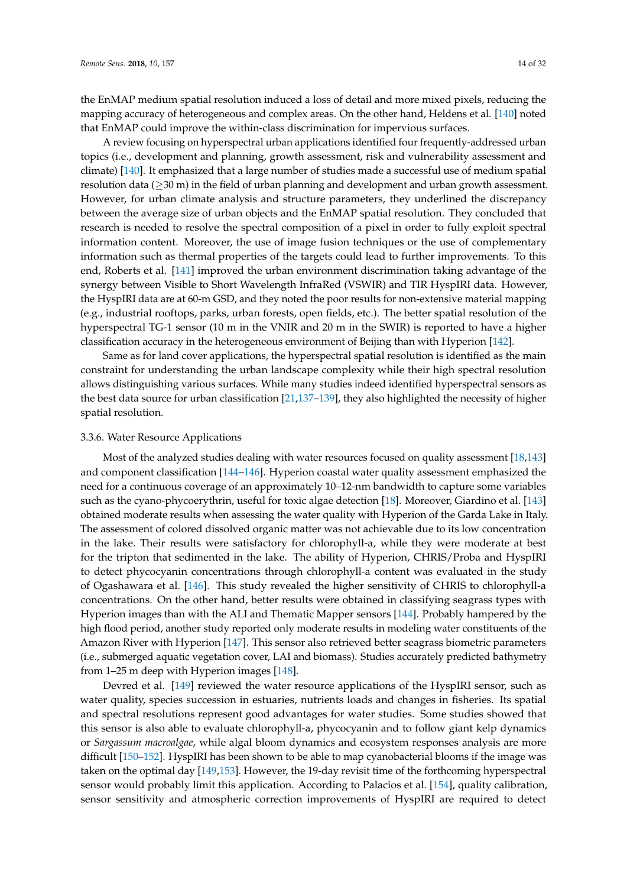the EnMAP medium spatial resolution induced a loss of detail and more mixed pixels, reducing the mapping accuracy of heterogeneous and complex areas. On the other hand, Heldens et al. [\[140\]](#page-28-5) noted that EnMAP could improve the within-class discrimination for impervious surfaces.

A review focusing on hyperspectral urban applications identified four frequently-addressed urban topics (i.e., development and planning, growth assessment, risk and vulnerability assessment and climate) [\[140\]](#page-28-5). It emphasized that a large number of studies made a successful use of medium spatial resolution data (≥30 m) in the field of urban planning and development and urban growth assessment. However, for urban climate analysis and structure parameters, they underlined the discrepancy between the average size of urban objects and the EnMAP spatial resolution. They concluded that research is needed to resolve the spectral composition of a pixel in order to fully exploit spectral information content. Moreover, the use of image fusion techniques or the use of complementary information such as thermal properties of the targets could lead to further improvements. To this end, Roberts et al. [\[141\]](#page-28-6) improved the urban environment discrimination taking advantage of the synergy between Visible to Short Wavelength InfraRed (VSWIR) and TIR HyspIRI data. However, the HyspIRI data are at 60-m GSD, and they noted the poor results for non-extensive material mapping (e.g., industrial rooftops, parks, urban forests, open fields, etc.). The better spatial resolution of the hyperspectral TG-1 sensor (10 m in the VNIR and 20 m in the SWIR) is reported to have a higher classification accuracy in the heterogeneous environment of Beijing than with Hyperion [\[142\]](#page-28-7).

Same as for land cover applications, the hyperspectral spatial resolution is identified as the main constraint for understanding the urban landscape complexity while their high spectral resolution allows distinguishing various surfaces. While many studies indeed identified hyperspectral sensors as the best data source for urban classification [\[21,](#page-22-7)[137–](#page-28-2)[139\]](#page-28-4), they also highlighted the necessity of higher spatial resolution.

#### 3.3.6. Water Resource Applications

Most of the analyzed studies dealing with water resources focused on quality assessment [\[18,](#page-22-4)[143\]](#page-28-8) and component classification [\[144–](#page-28-9)[146\]](#page-28-10). Hyperion coastal water quality assessment emphasized the need for a continuous coverage of an approximately 10–12-nm bandwidth to capture some variables such as the cyano-phycoerythrin, useful for toxic algae detection [\[18\]](#page-22-4). Moreover, Giardino et al. [\[143\]](#page-28-8) obtained moderate results when assessing the water quality with Hyperion of the Garda Lake in Italy. The assessment of colored dissolved organic matter was not achievable due to its low concentration in the lake. Their results were satisfactory for chlorophyll-a, while they were moderate at best for the tripton that sedimented in the lake. The ability of Hyperion, CHRIS/Proba and HyspIRI to detect phycocyanin concentrations through chlorophyll-a content was evaluated in the study of Ogashawara et al. [\[146\]](#page-28-10). This study revealed the higher sensitivity of CHRIS to chlorophyll-a concentrations. On the other hand, better results were obtained in classifying seagrass types with Hyperion images than with the ALI and Thematic Mapper sensors [\[144\]](#page-28-9). Probably hampered by the high flood period, another study reported only moderate results in modeling water constituents of the Amazon River with Hyperion [\[147\]](#page-28-11). This sensor also retrieved better seagrass biometric parameters (i.e., submerged aquatic vegetation cover, LAI and biomass). Studies accurately predicted bathymetry from 1–25 m deep with Hyperion images [\[148\]](#page-28-12).

Devred et al. [\[149\]](#page-28-13) reviewed the water resource applications of the HyspIRI sensor, such as water quality, species succession in estuaries, nutrients loads and changes in fisheries. Its spatial and spectral resolutions represent good advantages for water studies. Some studies showed that this sensor is also able to evaluate chlorophyll-a, phycocyanin and to follow giant kelp dynamics or *Sargassum macroalgae*, while algal bloom dynamics and ecosystem responses analysis are more difficult [\[150](#page-28-14)[–152\]](#page-28-15). HyspIRI has been shown to be able to map cyanobacterial blooms if the image was taken on the optimal day [\[149](#page-28-13)[,153\]](#page-28-16). However, the 19-day revisit time of the forthcoming hyperspectral sensor would probably limit this application. According to Palacios et al. [\[154\]](#page-29-0), quality calibration, sensor sensitivity and atmospheric correction improvements of HyspIRI are required to detect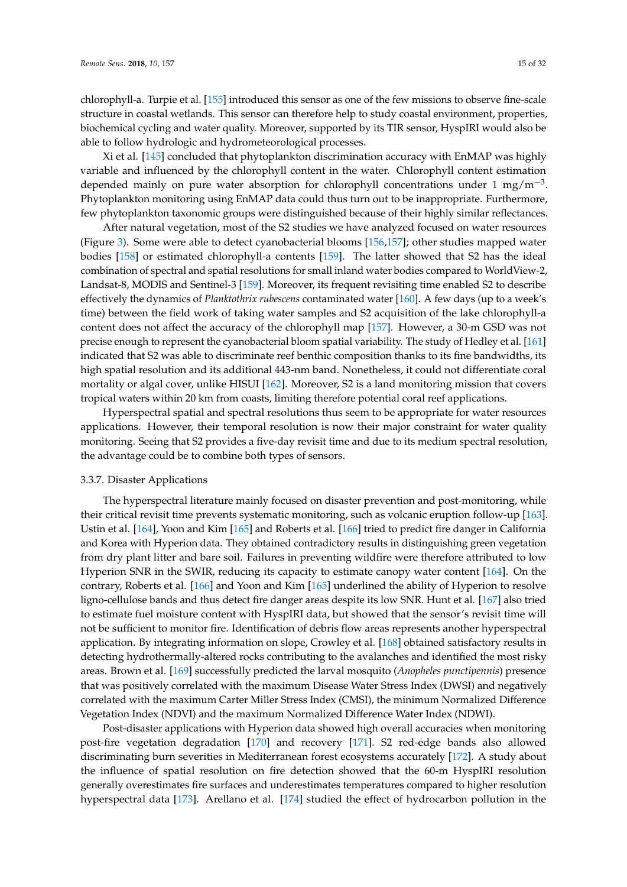chlorophyll-a. Turpie et al. [\[155\]](#page-29-1) introduced this sensor as one of the few missions to observe fine-scale structure in coastal wetlands. This sensor can therefore help to study coastal environment, properties, biochemical cycling and water quality. Moreover, supported by its TIR sensor, HyspIRI would also be able to follow hydrologic and hydrometeorological processes.

Xi et al. [\[145\]](#page-28-17) concluded that phytoplankton discrimination accuracy with EnMAP was highly variable and influenced by the chlorophyll content in the water. Chlorophyll content estimation depended mainly on pure water absorption for chlorophyll concentrations under 1 mg/m<sup>-3</sup>. Phytoplankton monitoring using EnMAP data could thus turn out to be inappropriate. Furthermore, few phytoplankton taxonomic groups were distinguished because of their highly similar reflectances.

After natural vegetation, most of the S2 studies we have analyzed focused on water resources (Figure [3\)](#page-5-2). Some were able to detect cyanobacterial blooms [\[156](#page-29-2)[,157\]](#page-29-3); other studies mapped water bodies [\[158\]](#page-29-4) or estimated chlorophyll-a contents [\[159\]](#page-29-5). The latter showed that S2 has the ideal combination of spectral and spatial resolutions for small inland water bodies compared to WorldView-2, Landsat-8, MODIS and Sentinel-3 [\[159\]](#page-29-5). Moreover, its frequent revisiting time enabled S2 to describe effectively the dynamics of *Planktothrix rubescens* contaminated water [\[160\]](#page-29-6). A few days (up to a week's time) between the field work of taking water samples and S2 acquisition of the lake chlorophyll-a content does not affect the accuracy of the chlorophyll map [\[157\]](#page-29-3). However, a 30-m GSD was not precise enough to represent the cyanobacterial bloom spatial variability. The study of Hedley et al. [\[161\]](#page-29-7) indicated that S2 was able to discriminate reef benthic composition thanks to its fine bandwidths, its high spatial resolution and its additional 443-nm band. Nonetheless, it could not differentiate coral mortality or algal cover, unlike HISUI [\[162\]](#page-29-8). Moreover, S2 is a land monitoring mission that covers tropical waters within 20 km from coasts, limiting therefore potential coral reef applications.

Hyperspectral spatial and spectral resolutions thus seem to be appropriate for water resources applications. However, their temporal resolution is now their major constraint for water quality monitoring. Seeing that S2 provides a five-day revisit time and due to its medium spectral resolution, the advantage could be to combine both types of sensors.

# 3.3.7. Disaster Applications

The hyperspectral literature mainly focused on disaster prevention and post-monitoring, while their critical revisit time prevents systematic monitoring, such as volcanic eruption follow-up [\[163\]](#page-29-9). Ustin et al. [\[164\]](#page-29-10), Yoon and Kim [\[165\]](#page-29-11) and Roberts et al. [\[166\]](#page-29-12) tried to predict fire danger in California and Korea with Hyperion data. They obtained contradictory results in distinguishing green vegetation from dry plant litter and bare soil. Failures in preventing wildfire were therefore attributed to low Hyperion SNR in the SWIR, reducing its capacity to estimate canopy water content [\[164\]](#page-29-10). On the contrary, Roberts et al. [\[166\]](#page-29-12) and Yoon and Kim [\[165\]](#page-29-11) underlined the ability of Hyperion to resolve ligno-cellulose bands and thus detect fire danger areas despite its low SNR. Hunt et al. [\[167\]](#page-29-13) also tried to estimate fuel moisture content with HyspIRI data, but showed that the sensor's revisit time will not be sufficient to monitor fire. Identification of debris flow areas represents another hyperspectral application. By integrating information on slope, Crowley et al. [\[168\]](#page-29-14) obtained satisfactory results in detecting hydrothermally-altered rocks contributing to the avalanches and identified the most risky areas. Brown et al. [\[169\]](#page-29-15) successfully predicted the larval mosquito (*Anopheles punctipennis*) presence that was positively correlated with the maximum Disease Water Stress Index (DWSI) and negatively correlated with the maximum Carter Miller Stress Index (CMSI), the minimum Normalized Difference Vegetation Index (NDVI) and the maximum Normalized Difference Water Index (NDWI).

Post-disaster applications with Hyperion data showed high overall accuracies when monitoring post-fire vegetation degradation [\[170\]](#page-29-16) and recovery [\[171\]](#page-29-17). S2 red-edge bands also allowed discriminating burn severities in Mediterranean forest ecosystems accurately [\[172\]](#page-29-18). A study about the influence of spatial resolution on fire detection showed that the 60-m HyspIRI resolution generally overestimates fire surfaces and underestimates temperatures compared to higher resolution hyperspectral data [\[173\]](#page-29-19). Arellano et al. [\[174\]](#page-29-20) studied the effect of hydrocarbon pollution in the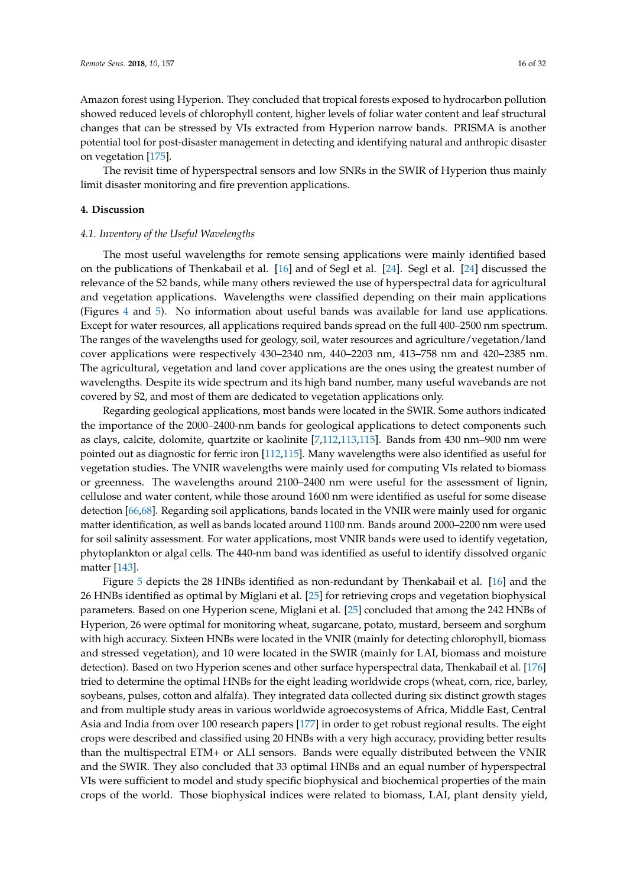Amazon forest using Hyperion. They concluded that tropical forests exposed to hydrocarbon pollution showed reduced levels of chlorophyll content, higher levels of foliar water content and leaf structural changes that can be stressed by VIs extracted from Hyperion narrow bands. PRISMA is another potential tool for post-disaster management in detecting and identifying natural and anthropic disaster on vegetation [\[175\]](#page-30-0).

The revisit time of hyperspectral sensors and low SNRs in the SWIR of Hyperion thus mainly limit disaster monitoring and fire prevention applications.

#### **4. Discussion**

## *4.1. Inventory of the Useful Wavelengths*

The most useful wavelengths for remote sensing applications were mainly identified based on the publications of Thenkabail et al. [\[16\]](#page-22-2) and of Segl et al. [\[24\]](#page-22-10). Segl et al. [\[24\]](#page-22-10) discussed the relevance of the S2 bands, while many others reviewed the use of hyperspectral data for agricultural and vegetation applications. Wavelengths were classified depending on their main applications (Figures [4](#page-16-0) and [5\)](#page-16-1). No information about useful bands was available for land use applications. Except for water resources, all applications required bands spread on the full 400–2500 nm spectrum. The ranges of the wavelengths used for geology, soil, water resources and agriculture/vegetation/land cover applications were respectively 430–2340 nm, 440–2203 nm, 413–758 nm and 420–2385 nm. The agricultural, vegetation and land cover applications are the ones using the greatest number of wavelengths. Despite its wide spectrum and its high band number, many useful wavebands are not covered by S2, and most of them are dedicated to vegetation applications only.

Regarding geological applications, most bands were located in the SWIR. Some authors indicated the importance of the 2000–2400-nm bands for geological applications to detect components such as clays, calcite, dolomite, quartzite or kaolinite [\[7](#page-21-4)[,112](#page-26-15)[,113,](#page-26-16)[115\]](#page-26-18). Bands from 430 nm–900 nm were pointed out as diagnostic for ferric iron [\[112,](#page-26-15)[115\]](#page-26-18). Many wavelengths were also identified as useful for vegetation studies. The VNIR wavelengths were mainly used for computing VIs related to biomass or greenness. The wavelengths around 2100–2400 nm were useful for the assessment of lignin, cellulose and water content, while those around 1600 nm were identified as useful for some disease detection [\[66](#page-24-10)[,68\]](#page-24-12). Regarding soil applications, bands located in the VNIR were mainly used for organic matter identification, as well as bands located around 1100 nm. Bands around 2000–2200 nm were used for soil salinity assessment. For water applications, most VNIR bands were used to identify vegetation, phytoplankton or algal cells. The 440-nm band was identified as useful to identify dissolved organic matter [\[143\]](#page-28-8).

Figure [5](#page-16-1) depicts the 28 HNBs identified as non-redundant by Thenkabail et al. [\[16\]](#page-22-2) and the 26 HNBs identified as optimal by Miglani et al. [\[25\]](#page-22-11) for retrieving crops and vegetation biophysical parameters. Based on one Hyperion scene, Miglani et al. [\[25\]](#page-22-11) concluded that among the 242 HNBs of Hyperion, 26 were optimal for monitoring wheat, sugarcane, potato, mustard, berseem and sorghum with high accuracy. Sixteen HNBs were located in the VNIR (mainly for detecting chlorophyll, biomass and stressed vegetation), and 10 were located in the SWIR (mainly for LAI, biomass and moisture detection). Based on two Hyperion scenes and other surface hyperspectral data, Thenkabail et al. [\[176\]](#page-30-1) tried to determine the optimal HNBs for the eight leading worldwide crops (wheat, corn, rice, barley, soybeans, pulses, cotton and alfalfa). They integrated data collected during six distinct growth stages and from multiple study areas in various worldwide agroecosystems of Africa, Middle East, Central Asia and India from over 100 research papers [\[177\]](#page-30-2) in order to get robust regional results. The eight crops were described and classified using 20 HNBs with a very high accuracy, providing better results than the multispectral ETM+ or ALI sensors. Bands were equally distributed between the VNIR and the SWIR. They also concluded that 33 optimal HNBs and an equal number of hyperspectral VIs were sufficient to model and study specific biophysical and biochemical properties of the main crops of the world. Those biophysical indices were related to biomass, LAI, plant density yield,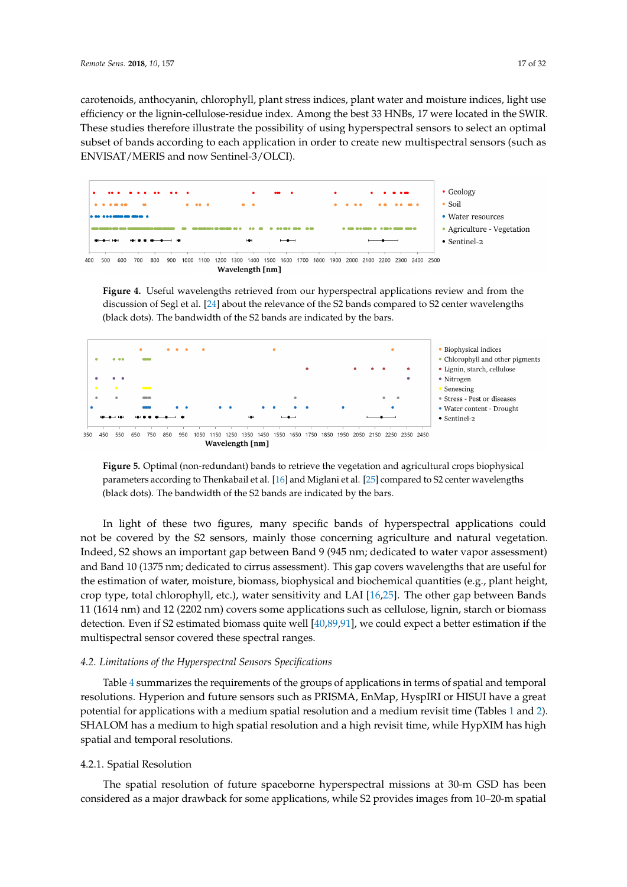carotenoids, anthocyanin, chlorophyll, plant stress indices, plant water and moisture indices, light use efficiency or the lignin-cellulose-residue index. Among the best 33 HNBs, 17 were located in the SWIR. These studies therefore illustrate the possibility of using hyperspectral sensors to select an optimal subset of bands according to each application in order to create new multispectral sensors (such as ENVISAT/MERIS and now Sentinel-3/OLCI).

<span id="page-16-0"></span>



**Figure 4.** Useful wavelengths retrieved from our hyperspectral applications review and from the discussion of Segl et al. [\[24\]](#page-22-10) about the relevance of the S2 bands compared to S2 center wavelengths (black dots). The bandwidth of the S2 bands are indicated by the bars.

<span id="page-16-1"></span>

**Figure 5.** Optimal (non-redundant) bands to retrieve the vegetation and agricultural crops biophysical parameters according to Thenkabail et al. [\[16\]](#page-22-2) and Miglani et al. [\[25\]](#page-22-11) compared to S2 center wavelengths (black dots). The bandwidth of the S2 bands are indicated by the bars.

In light of these two figures, many specific bands of hyperspectral applications could not be covered by the S2 sensors, mainly those concerning agriculture and natural vegetation. Indeed, S2 shows an important gap between Band 9 (945 nm; dedicated to water vapor assessment) and Band 10 (1375 nm; dedicated to cirrus assessment). This gap covers wavelengths that are useful for the estimation of water, moisture, biomass, biophysical and biochemical quantities (e.g., plant height, crop type, total chlorophyll, etc.), water sensitivity and LAI [\[16](#page-22-2)[,25\]](#page-22-11). The other gap between Bands 11 (1614 nm) and 12 (2202 nm) covers some applications such as cellulose, lignin, starch or biomass detection. Even if S2 estimated biomass quite well [\[40,](#page-23-4)[89](#page-25-13)[,91\]](#page-25-15), we could expect a better estimation if the multispectral sensor covered these spectral ranges.

# *4.2. Limitations of the Hyperspectral Sensors Specifications*

Table [4](#page-19-0) summarizes the requirements of the groups of applications in terms of spatial and temporal resolutions. Hyperion and future sensors such as PRISMA, EnMap, HyspIRI or HISUI have a great potential for applications with a medium spatial resolution and a medium revisit time (Tables [1](#page-3-0) and [2\)](#page-4-0). SHALOM has a medium to high spatial resolution and a high revisit time, while HypXIM has high spatial and temporal resolutions.

# 4.2.1. Spatial Resolution

The spatial resolution of future spaceborne hyperspectral missions at 30-m GSD has been considered as a major drawback for some applications, while S2 provides images from 10–20-m spatial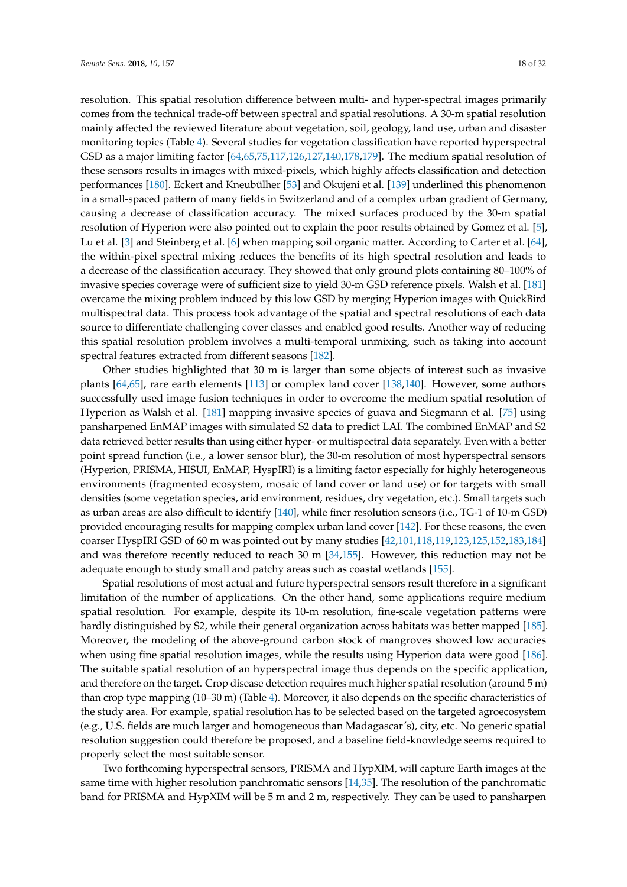resolution. This spatial resolution difference between multi- and hyper-spectral images primarily comes from the technical trade-off between spectral and spatial resolutions. A 30-m spatial resolution mainly affected the reviewed literature about vegetation, soil, geology, land use, urban and disaster monitoring topics (Table [4\)](#page-19-0). Several studies for vegetation classification have reported hyperspectral GSD as a major limiting factor [\[64,](#page-24-8)[65,](#page-24-9)[75,](#page-24-19)[117,](#page-27-1)[126,](#page-27-10)[127,](#page-27-11)[140,](#page-28-5)[178,](#page-30-3)[179\]](#page-30-4). The medium spatial resolution of these sensors results in images with mixed-pixels, which highly affects classification and detection performances [\[180\]](#page-30-5). Eckert and Kneubülher [\[53\]](#page-23-16) and Okujeni et al. [\[139\]](#page-28-4) underlined this phenomenon in a small-spaced pattern of many fields in Switzerland and of a complex urban gradient of Germany, causing a decrease of classification accuracy. The mixed surfaces produced by the 30-m spatial resolution of Hyperion were also pointed out to explain the poor results obtained by Gomez et al. [\[5\]](#page-21-10), Lu et al. [\[3\]](#page-21-2) and Steinberg et al. [\[6\]](#page-21-3) when mapping soil organic matter. According to Carter et al. [\[64\]](#page-24-8), the within-pixel spectral mixing reduces the benefits of its high spectral resolution and leads to a decrease of the classification accuracy. They showed that only ground plots containing 80–100% of invasive species coverage were of sufficient size to yield 30-m GSD reference pixels. Walsh et al. [\[181\]](#page-30-6) overcame the mixing problem induced by this low GSD by merging Hyperion images with QuickBird multispectral data. This process took advantage of the spatial and spectral resolutions of each data source to differentiate challenging cover classes and enabled good results. Another way of reducing this spatial resolution problem involves a multi-temporal unmixing, such as taking into account spectral features extracted from different seasons [\[182\]](#page-30-7).

Other studies highlighted that 30 m is larger than some objects of interest such as invasive plants [\[64](#page-24-8)[,65\]](#page-24-9), rare earth elements [\[113\]](#page-26-16) or complex land cover [\[138,](#page-28-3)[140\]](#page-28-5). However, some authors successfully used image fusion techniques in order to overcome the medium spatial resolution of Hyperion as Walsh et al. [\[181\]](#page-30-6) mapping invasive species of guava and Siegmann et al. [\[75\]](#page-24-19) using pansharpened EnMAP images with simulated S2 data to predict LAI. The combined EnMAP and S2 data retrieved better results than using either hyper- or multispectral data separately. Even with a better point spread function (i.e., a lower sensor blur), the 30-m resolution of most hyperspectral sensors (Hyperion, PRISMA, HISUI, EnMAP, HyspIRI) is a limiting factor especially for highly heterogeneous environments (fragmented ecosystem, mosaic of land cover or land use) or for targets with small densities (some vegetation species, arid environment, residues, dry vegetation, etc.). Small targets such as urban areas are also difficult to identify [\[140\]](#page-28-5), while finer resolution sensors (i.e., TG-1 of 10-m GSD) provided encouraging results for mapping complex urban land cover [\[142\]](#page-28-7). For these reasons, the even coarser HyspIRI GSD of 60 m was pointed out by many studies [\[42,](#page-23-6)[101,](#page-26-4)[118](#page-27-2)[,119,](#page-27-3)[123](#page-27-7)[,125](#page-27-9)[,152](#page-28-15)[,183](#page-30-8)[,184\]](#page-30-9) and was therefore recently reduced to reach 30 m  $[34,155]$  $[34,155]$ . However, this reduction may not be adequate enough to study small and patchy areas such as coastal wetlands [\[155\]](#page-29-1).

Spatial resolutions of most actual and future hyperspectral sensors result therefore in a significant limitation of the number of applications. On the other hand, some applications require medium spatial resolution. For example, despite its 10-m resolution, fine-scale vegetation patterns were hardly distinguished by S2, while their general organization across habitats was better mapped [\[185\]](#page-30-10). Moreover, the modeling of the above-ground carbon stock of mangroves showed low accuracies when using fine spatial resolution images, while the results using Hyperion data were good [\[186\]](#page-30-11). The suitable spatial resolution of an hyperspectral image thus depends on the specific application, and therefore on the target. Crop disease detection requires much higher spatial resolution (around 5 m) than crop type mapping (10–30 m) (Table [4\)](#page-19-0). Moreover, it also depends on the specific characteristics of the study area. For example, spatial resolution has to be selected based on the targeted agroecosystem (e.g., U.S. fields are much larger and homogeneous than Madagascar's), city, etc. No generic spatial resolution suggestion could therefore be proposed, and a baseline field-knowledge seems required to properly select the most suitable sensor.

Two forthcoming hyperspectral sensors, PRISMA and HypXIM, will capture Earth images at the same time with higher resolution panchromatic sensors [\[14](#page-22-0)[,35\]](#page-22-15). The resolution of the panchromatic band for PRISMA and HypXIM will be 5 m and 2 m, respectively. They can be used to pansharpen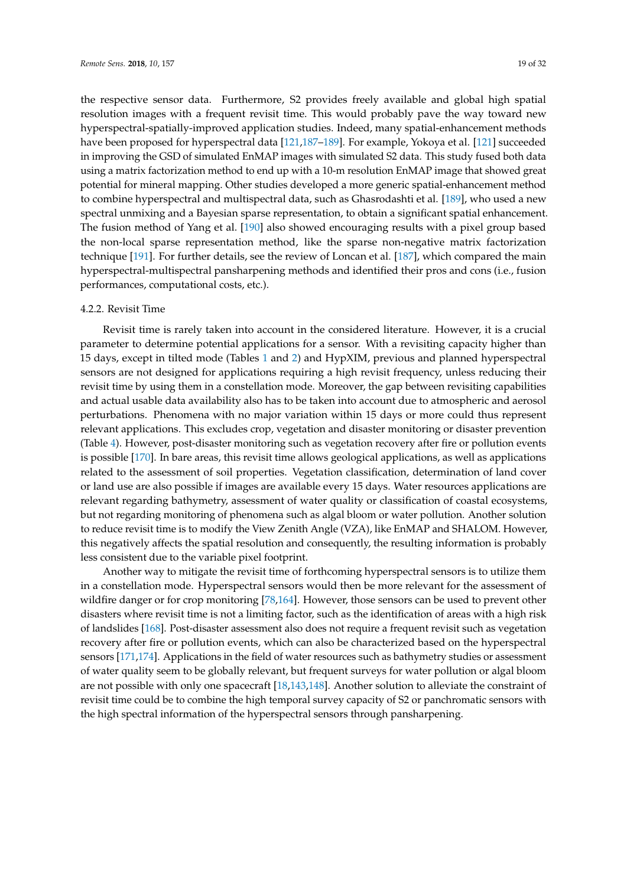the respective sensor data. Furthermore, S2 provides freely available and global high spatial resolution images with a frequent revisit time. This would probably pave the way toward new hyperspectral-spatially-improved application studies. Indeed, many spatial-enhancement methods have been proposed for hyperspectral data [\[121,](#page-27-5)[187](#page-30-12)[–189\]](#page-30-13). For example, Yokoya et al. [\[121\]](#page-27-5) succeeded in improving the GSD of simulated EnMAP images with simulated S2 data. This study fused both data using a matrix factorization method to end up with a 10-m resolution EnMAP image that showed great potential for mineral mapping. Other studies developed a more generic spatial-enhancement method to combine hyperspectral and multispectral data, such as Ghasrodashti et al. [\[189\]](#page-30-13), who used a new spectral unmixing and a Bayesian sparse representation, to obtain a significant spatial enhancement. The fusion method of Yang et al. [\[190\]](#page-30-14) also showed encouraging results with a pixel group based the non-local sparse representation method, like the sparse non-negative matrix factorization technique [\[191\]](#page-30-15). For further details, see the review of Loncan et al. [\[187\]](#page-30-12), which compared the main hyperspectral-multispectral pansharpening methods and identified their pros and cons (i.e., fusion performances, computational costs, etc.).

#### 4.2.2. Revisit Time

Revisit time is rarely taken into account in the considered literature. However, it is a crucial parameter to determine potential applications for a sensor. With a revisiting capacity higher than 15 days, except in tilted mode (Tables [1](#page-3-0) and [2\)](#page-4-0) and HypXIM, previous and planned hyperspectral sensors are not designed for applications requiring a high revisit frequency, unless reducing their revisit time by using them in a constellation mode. Moreover, the gap between revisiting capabilities and actual usable data availability also has to be taken into account due to atmospheric and aerosol perturbations. Phenomena with no major variation within 15 days or more could thus represent relevant applications. This excludes crop, vegetation and disaster monitoring or disaster prevention (Table [4\)](#page-19-0). However, post-disaster monitoring such as vegetation recovery after fire or pollution events is possible [\[170\]](#page-29-16). In bare areas, this revisit time allows geological applications, as well as applications related to the assessment of soil properties. Vegetation classification, determination of land cover or land use are also possible if images are available every 15 days. Water resources applications are relevant regarding bathymetry, assessment of water quality or classification of coastal ecosystems, but not regarding monitoring of phenomena such as algal bloom or water pollution. Another solution to reduce revisit time is to modify the View Zenith Angle (VZA), like EnMAP and SHALOM. However, this negatively affects the spatial resolution and consequently, the resulting information is probably less consistent due to the variable pixel footprint.

Another way to mitigate the revisit time of forthcoming hyperspectral sensors is to utilize them in a constellation mode. Hyperspectral sensors would then be more relevant for the assessment of wildfire danger or for crop monitoring [\[78](#page-25-2)[,164\]](#page-29-10). However, those sensors can be used to prevent other disasters where revisit time is not a limiting factor, such as the identification of areas with a high risk of landslides [\[168\]](#page-29-14). Post-disaster assessment also does not require a frequent revisit such as vegetation recovery after fire or pollution events, which can also be characterized based on the hyperspectral sensors [\[171](#page-29-17)[,174\]](#page-29-20). Applications in the field of water resources such as bathymetry studies or assessment of water quality seem to be globally relevant, but frequent surveys for water pollution or algal bloom are not possible with only one spacecraft [\[18,](#page-22-4)[143,](#page-28-8)[148\]](#page-28-12). Another solution to alleviate the constraint of revisit time could be to combine the high temporal survey capacity of S2 or panchromatic sensors with the high spectral information of the hyperspectral sensors through pansharpening.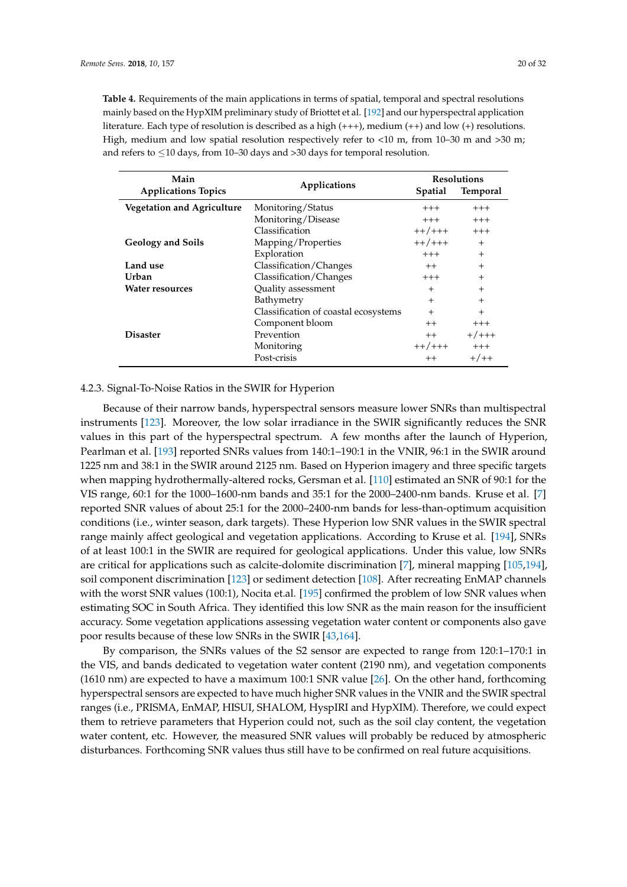<span id="page-19-0"></span>**Table 4.** Requirements of the main applications in terms of spatial, temporal and spectral resolutions mainly based on the HypXIM preliminary study of Briottet et al. [\[192\]](#page-30-16) and our hyperspectral application literature. Each type of resolution is described as a high (+++), medium (++) and low (+) resolutions. High, medium and low spatial resolution respectively refer to <10 m, from 10-30 m and >30 m; and refers to ≤10 days, from 10–30 days and >30 days for temporal resolution.

| Main<br><b>Applications Topics</b> | Applications                         | <b>Spatial</b> | <b>Resolutions</b><br><b>Temporal</b> |  |
|------------------------------------|--------------------------------------|----------------|---------------------------------------|--|
| <b>Vegetation and Agriculture</b>  | Monitoring/Status                    | $+++$          | $^{+++}$                              |  |
|                                    | Monitoring/Disease                   | $+++$          | $+++$                                 |  |
|                                    | Classification                       | $++/+++$       | $+++$                                 |  |
| <b>Geology and Soils</b>           | Mapping/Properties                   | $++/+++$       | $+$                                   |  |
|                                    | Exploration                          | $+++$          | $+$                                   |  |
| Land use                           | Classification/Changes               | $++$           | $+$                                   |  |
| Urban                              | Classification/Changes               | $+++$          | $^{+}$                                |  |
| <b>Water resources</b>             | Quality assessment                   | $^{+}$         | $+$                                   |  |
|                                    | Bathymetry                           | $^{+}$         | $\ddot{}$                             |  |
|                                    | Classification of coastal ecosystems | $+$            | $^{+}$                                |  |
|                                    | Component bloom                      | $++$           | $+++$                                 |  |
| <b>Disaster</b>                    | Prevention                           | $++$           | $+/+++$                               |  |
|                                    | Monitoring                           | $++/+++$       | $+++$                                 |  |
|                                    | Post-crisis                          | $++$           | $+/++$                                |  |

4.2.3. Signal-To-Noise Ratios in the SWIR for Hyperion

Because of their narrow bands, hyperspectral sensors measure lower SNRs than multispectral instruments [\[123\]](#page-27-7). Moreover, the low solar irradiance in the SWIR significantly reduces the SNR values in this part of the hyperspectral spectrum. A few months after the launch of Hyperion, Pearlman et al. [\[193\]](#page-30-17) reported SNRs values from 140:1–190:1 in the VNIR, 96:1 in the SWIR around 1225 nm and 38:1 in the SWIR around 2125 nm. Based on Hyperion imagery and three specific targets when mapping hydrothermally-altered rocks, Gersman et al. [\[110\]](#page-26-13) estimated an SNR of 90:1 for the VIS range, 60:1 for the 1000–1600-nm bands and 35:1 for the 2000–2400-nm bands. Kruse et al. [\[7\]](#page-21-4) reported SNR values of about 25:1 for the 2000–2400-nm bands for less-than-optimum acquisition conditions (i.e., winter season, dark targets). These Hyperion low SNR values in the SWIR spectral range mainly affect geological and vegetation applications. According to Kruse et al. [\[194\]](#page-31-0), SNRs of at least 100:1 in the SWIR are required for geological applications. Under this value, low SNRs are critical for applications such as calcite-dolomite discrimination [\[7\]](#page-21-4), mineral mapping [\[105,](#page-26-8)[194\]](#page-31-0), soil component discrimination [\[123\]](#page-27-7) or sediment detection [\[108\]](#page-26-11). After recreating EnMAP channels with the worst SNR values (100:1), Nocita et.al. [\[195\]](#page-31-1) confirmed the problem of low SNR values when estimating SOC in South Africa. They identified this low SNR as the main reason for the insufficient accuracy. Some vegetation applications assessing vegetation water content or components also gave poor results because of these low SNRs in the SWIR [\[43](#page-23-7)[,164\]](#page-29-10).

By comparison, the SNRs values of the S2 sensor are expected to range from 120:1–170:1 in the VIS, and bands dedicated to vegetation water content (2190 nm), and vegetation components (1610 nm) are expected to have a maximum 100:1 SNR value [\[26\]](#page-22-12). On the other hand, forthcoming hyperspectral sensors are expected to have much higher SNR values in the VNIR and the SWIR spectral ranges (i.e., PRISMA, EnMAP, HISUI, SHALOM, HyspIRI and HypXIM). Therefore, we could expect them to retrieve parameters that Hyperion could not, such as the soil clay content, the vegetation water content, etc. However, the measured SNR values will probably be reduced by atmospheric disturbances. Forthcoming SNR values thus still have to be confirmed on real future acquisitions.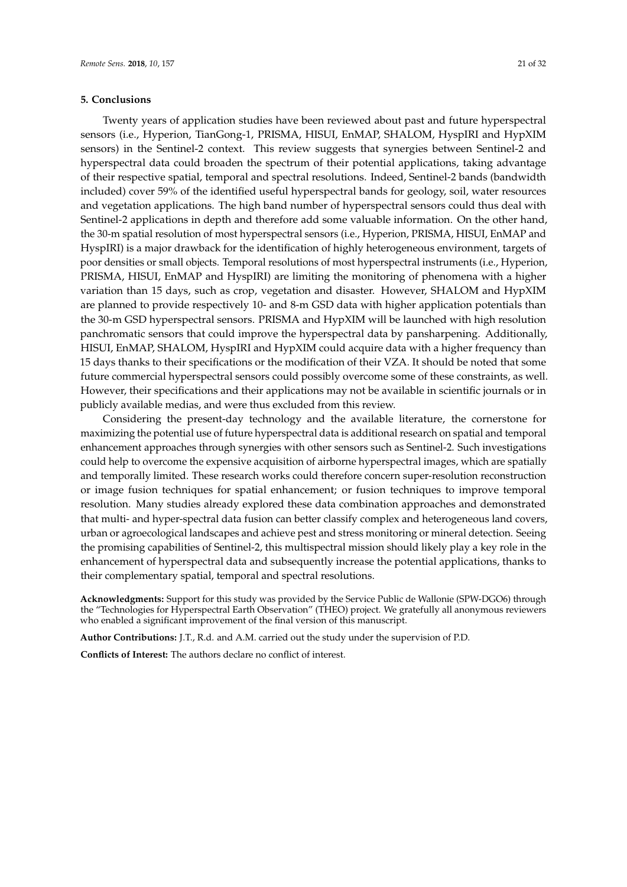# **5. Conclusions**

Twenty years of application studies have been reviewed about past and future hyperspectral sensors (i.e., Hyperion, TianGong-1, PRISMA, HISUI, EnMAP, SHALOM, HyspIRI and HypXIM sensors) in the Sentinel-2 context. This review suggests that synergies between Sentinel-2 and hyperspectral data could broaden the spectrum of their potential applications, taking advantage of their respective spatial, temporal and spectral resolutions. Indeed, Sentinel-2 bands (bandwidth included) cover 59% of the identified useful hyperspectral bands for geology, soil, water resources and vegetation applications. The high band number of hyperspectral sensors could thus deal with Sentinel-2 applications in depth and therefore add some valuable information. On the other hand, the 30-m spatial resolution of most hyperspectral sensors (i.e., Hyperion, PRISMA, HISUI, EnMAP and HyspIRI) is a major drawback for the identification of highly heterogeneous environment, targets of poor densities or small objects. Temporal resolutions of most hyperspectral instruments (i.e., Hyperion, PRISMA, HISUI, EnMAP and HyspIRI) are limiting the monitoring of phenomena with a higher variation than 15 days, such as crop, vegetation and disaster. However, SHALOM and HypXIM are planned to provide respectively 10- and 8-m GSD data with higher application potentials than the 30-m GSD hyperspectral sensors. PRISMA and HypXIM will be launched with high resolution panchromatic sensors that could improve the hyperspectral data by pansharpening. Additionally, HISUI, EnMAP, SHALOM, HyspIRI and HypXIM could acquire data with a higher frequency than 15 days thanks to their specifications or the modification of their VZA. It should be noted that some future commercial hyperspectral sensors could possibly overcome some of these constraints, as well. However, their specifications and their applications may not be available in scientific journals or in publicly available medias, and were thus excluded from this review.

Considering the present-day technology and the available literature, the cornerstone for maximizing the potential use of future hyperspectral data is additional research on spatial and temporal enhancement approaches through synergies with other sensors such as Sentinel-2. Such investigations could help to overcome the expensive acquisition of airborne hyperspectral images, which are spatially and temporally limited. These research works could therefore concern super-resolution reconstruction or image fusion techniques for spatial enhancement; or fusion techniques to improve temporal resolution. Many studies already explored these data combination approaches and demonstrated that multi- and hyper-spectral data fusion can better classify complex and heterogeneous land covers, urban or agroecological landscapes and achieve pest and stress monitoring or mineral detection. Seeing the promising capabilities of Sentinel-2, this multispectral mission should likely play a key role in the enhancement of hyperspectral data and subsequently increase the potential applications, thanks to their complementary spatial, temporal and spectral resolutions.

**Acknowledgments:** Support for this study was provided by the Service Public de Wallonie (SPW-DGO6) through the "Technologies for Hyperspectral Earth Observation" (THEO) project. We gratefully all anonymous reviewers who enabled a significant improvement of the final version of this manuscript.

**Author Contributions:** J.T., R.d. and A.M. carried out the study under the supervision of P.D.

**Conflicts of Interest:** The authors declare no conflict of interest.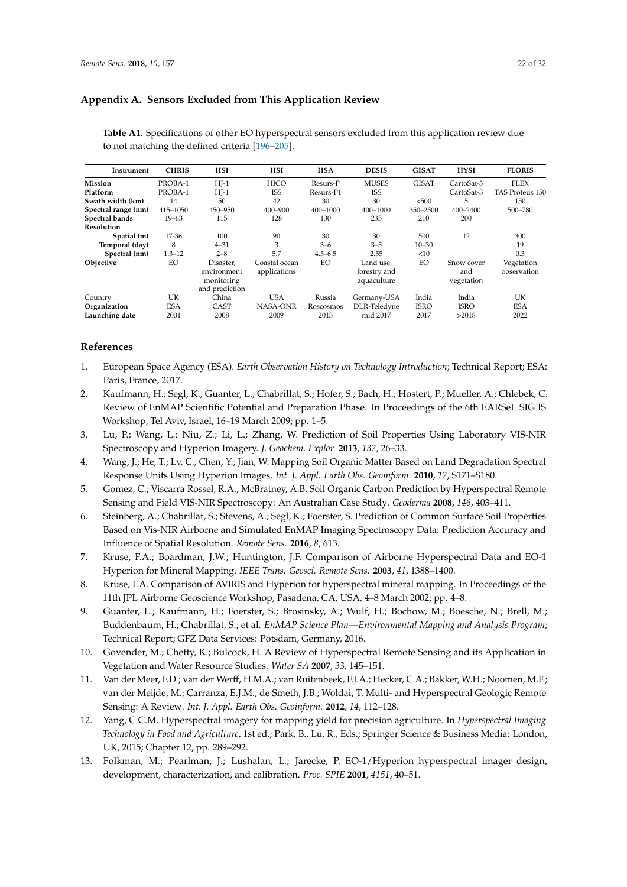# **Appendix A. Sensors Excluded from This Application Review**

| Instrument          | <b>CHRIS</b> | <b>HSI</b>                                               | <b>HSI</b>                    | <b>HSA</b>  | <b>DESIS</b>                             | <b>GISAT</b> | <b>HYSI</b>                     | <b>FLORIS</b>             |
|---------------------|--------------|----------------------------------------------------------|-------------------------------|-------------|------------------------------------------|--------------|---------------------------------|---------------------------|
| <b>Mission</b>      | PROBA-1      | $HJ-1$                                                   | <b>HICO</b>                   | Resurs-P    | <b>MUSES</b>                             | <b>GISAT</b> | CartoSat-3                      | <b>FLEX</b>               |
| Platform            | PROBA-1      | $HI-1$                                                   | <b>ISS</b>                    | Resurs-P1   | ISS                                      |              | CartoSat-3                      | <b>TAS Proteus 150</b>    |
| Swath width (km)    | 14           | 50                                                       | 42                            | 30          | 30                                       | < 500        | 5                               | 150                       |
| Spectral range (nm) | 415-1050     | 450-950                                                  | 400-900                       | 400-1000    | 400-1000                                 | 350-2500     | 400-2400                        | 500-780                   |
| Spectral bands      | $19 - 63$    | 115                                                      | 128                           | 130         | 235                                      | 210          | 200                             |                           |
| <b>Resolution</b>   |              |                                                          |                               |             |                                          |              |                                 |                           |
| Spatial (m)         | 17-36        | 100                                                      | 90                            | 30          | 30                                       | 500          | 12                              | 300                       |
| Temporal (day)      | 8            | $4 - 31$                                                 | 3                             | $3 - 6$     | $3 - 5$                                  | $10 - 30$    |                                 | 19                        |
| Spectral (nm)       | $1.3 - 12$   | $2 - 8$                                                  | 5.7                           | $4.5 - 6.5$ | 2.55                                     | <10          |                                 | 0.3                       |
| Objective           | EО           | Disaster,<br>environment<br>monitoring<br>and prediction | Coastal ocean<br>applications | EО          | Land use,<br>forestry and<br>aquaculture | EО           | Snow cover<br>and<br>vegetation | Vegetation<br>observation |
| Country             | UK           | China                                                    | <b>USA</b>                    | Russia      | Germany-USA                              | India        | India                           | UК                        |
| Organization        | <b>ESA</b>   | CAST                                                     | NASA-ONR                      | Roscosmos   | DLR-Teledyne                             | <b>ISRO</b>  | ISRO                            | <b>ESA</b>                |
| Launching date      | 2001         | 2008                                                     | 2009                          | 2013        | mid 2017                                 | 2017         | >2018                           | 2022                      |

**Table A1.** Specifications of other EO hyperspectral sensors excluded from this application review due to not matching the defined criteria [\[196](#page-31-2)[–205\]](#page-31-3).

# **References**

- <span id="page-21-0"></span>1. European Space Agency (ESA). *Earth Observation History on Technology Introduction*; Technical Report; ESA: Paris, France, 2017.
- <span id="page-21-1"></span>2. Kaufmann, H.; Segl, K.; Guanter, L.; Chabrillat, S.; Hofer, S.; Bach, H.; Hostert, P.; Mueller, A.; Chlebek, C. Review of EnMAP Scientific Potential and Preparation Phase. In Proceedings of the 6th EARSeL SIG IS Workshop, Tel Aviv, Israel, 16–19 March 2009; pp. 1–5.
- <span id="page-21-2"></span>3. Lu, P.; Wang, L.; Niu, Z.; Li, L.; Zhang, W. Prediction of Soil Properties Using Laboratory VIS-NIR Spectroscopy and Hyperion Imagery. *J. Geochem. Explor.* **2013**, *132*, 26–33.
- 4. Wang, J.; He, T.; Lv, C.; Chen, Y.; Jian, W. Mapping Soil Organic Matter Based on Land Degradation Spectral Response Units Using Hyperion Images. *Int. J. Appl. Earth Obs. Geoinform.* **2010**, *12*, S171–S180.
- <span id="page-21-10"></span>5. Gomez, C.; Viscarra Rossel, R.A.; McBratney, A.B. Soil Organic Carbon Prediction by Hyperspectral Remote Sensing and Field VIS-NIR Spectroscopy: An Australian Case Study. *Geoderma* **2008**, *146*, 403–411.
- <span id="page-21-3"></span>6. Steinberg, A.; Chabrillat, S.; Stevens, A.; Segl, K.; Foerster, S. Prediction of Common Surface Soil Properties Based on Vis-NIR Airborne and Simulated EnMAP Imaging Spectroscopy Data: Prediction Accuracy and Influence of Spatial Resolution. *Remote Sens.* **2016**, *8*, 613.
- <span id="page-21-4"></span>7. Kruse, F.A.; Boardman, J.W.; Huntington, J.F. Comparison of Airborne Hyperspectral Data and EO-1 Hyperion for Mineral Mapping. *IEEE Trans. Geosci. Remote Sens.* **2003**, *41*, 1388–1400.
- 8. Kruse, F.A. Comparison of AVIRIS and Hyperion for hyperspectral mineral mapping. In Proceedings of the 11th JPL Airborne Geoscience Workshop, Pasadena, CA, USA, 4–8 March 2002; pp. 4–8.
- <span id="page-21-5"></span>9. Guanter, L.; Kaufmann, H.; Foerster, S.; Brosinsky, A.; Wulf, H.; Bochow, M.; Boesche, N.; Brell, M.; Buddenbaum, H.; Chabrillat, S.; et al. *EnMAP Science Plan—Environmental Mapping and Analysis Program*; Technical Report; GFZ Data Services: Potsdam, Germany, 2016.
- <span id="page-21-8"></span>10. Govender, M.; Chetty, K.; Bulcock, H. A Review of Hyperspectral Remote Sensing and its Application in Vegetation and Water Resource Studies. *Water SA* **2007**, *33*, 145–151.
- <span id="page-21-9"></span>11. Van der Meer, F.D.; van der Werff, H.M.A.; van Ruitenbeek, F.J.A.; Hecker, C.A.; Bakker, W.H.; Noomen, M.F.; van der Meijde, M.; Carranza, E.J.M.; de Smeth, J.B.; Woldai, T. Multi- and Hyperspectral Geologic Remote Sensing: A Review. *Int. J. Appl. Earth Obs. Geoinform.* **2012**, *14*, 112–128.
- <span id="page-21-6"></span>12. Yang, C.C.M. Hyperspectral imagery for mapping yield for precision agriculture. In *Hyperspectral Imaging Technology in Food and Agriculture*, 1st ed.; Park, B., Lu, R., Eds.; Springer Science & Business Media: London, UK, 2015; Chapter 12, pp. 289–292.
- <span id="page-21-7"></span>13. Folkman, M.; Pearlman, J.; Lushalan, L.; Jarecke, P. EO-1/Hyperion hyperspectral imager design, development, characterization, and calibration. *Proc. SPIE* **2001**, *4151*, 40–51.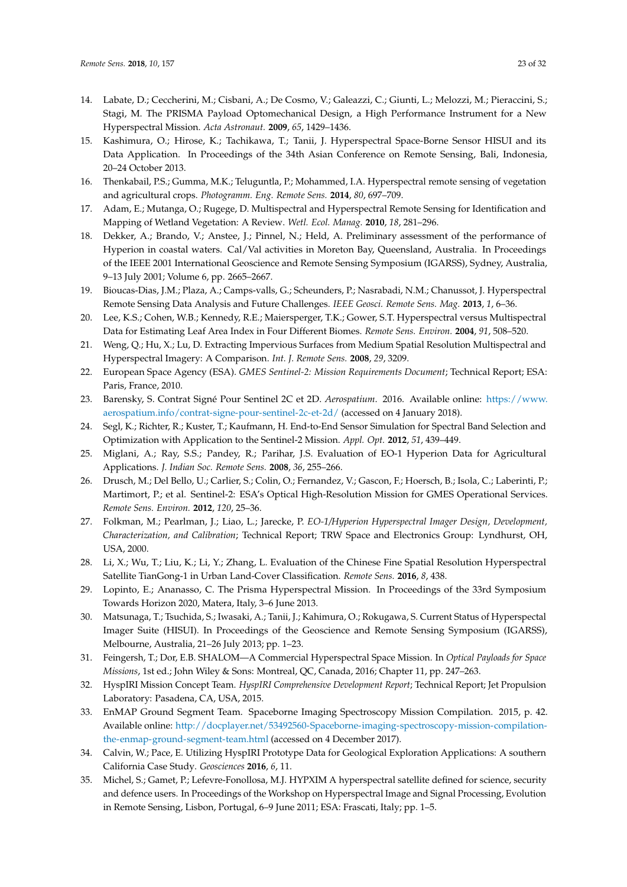- <span id="page-22-0"></span>14. Labate, D.; Ceccherini, M.; Cisbani, A.; De Cosmo, V.; Galeazzi, C.; Giunti, L.; Melozzi, M.; Pieraccini, S.; Stagi, M. The PRISMA Payload Optomechanical Design, a High Performance Instrument for a New Hyperspectral Mission. *Acta Astronaut.* **2009**, *65*, 1429–1436.
- <span id="page-22-1"></span>15. Kashimura, O.; Hirose, K.; Tachikawa, T.; Tanii, J. Hyperspectral Space-Borne Sensor HISUI and its Data Application. In Proceedings of the 34th Asian Conference on Remote Sensing, Bali, Indonesia, 20–24 October 2013.
- <span id="page-22-2"></span>16. Thenkabail, P.S.; Gumma, M.K.; Teluguntla, P.; Mohammed, I.A. Hyperspectral remote sensing of vegetation and agricultural crops. *Photogramm. Eng. Remote Sens.* **2014**, *80*, 697–709.
- <span id="page-22-3"></span>17. Adam, E.; Mutanga, O.; Rugege, D. Multispectral and Hyperspectral Remote Sensing for Identification and Mapping of Wetland Vegetation: A Review. *Wetl. Ecol. Manag.* **2010**, *18*, 281–296.
- <span id="page-22-4"></span>18. Dekker, A.; Brando, V.; Anstee, J.; Pinnel, N.; Held, A. Preliminary assessment of the performance of Hyperion in coastal waters. Cal/Val activities in Moreton Bay, Queensland, Australia. In Proceedings of the IEEE 2001 International Geoscience and Remote Sensing Symposium (IGARSS), Sydney, Australia, 9–13 July 2001; Volume 6, pp. 2665–2667.
- <span id="page-22-5"></span>19. Bioucas-Dias, J.M.; Plaza, A.; Camps-valls, G.; Scheunders, P.; Nasrabadi, N.M.; Chanussot, J. Hyperspectral Remote Sensing Data Analysis and Future Challenges. *IEEE Geosci. Remote Sens. Mag.* **2013**, *1*, 6–36.
- <span id="page-22-6"></span>20. Lee, K.S.; Cohen, W.B.; Kennedy, R.E.; Maiersperger, T.K.; Gower, S.T. Hyperspectral versus Multispectral Data for Estimating Leaf Area Index in Four Different Biomes. *Remote Sens. Environ.* **2004**, *91*, 508–520.
- <span id="page-22-7"></span>21. Weng, Q.; Hu, X.; Lu, D. Extracting Impervious Surfaces from Medium Spatial Resolution Multispectral and Hyperspectral Imagery: A Comparison. *Int. J. Remote Sens.* **2008**, *29*, 3209.
- <span id="page-22-8"></span>22. European Space Agency (ESA). *GMES Sentinel-2: Mission Requirements Document*; Technical Report; ESA: Paris, France, 2010.
- <span id="page-22-9"></span>23. Barensky, S. Contrat Signé Pour Sentinel 2C et 2D. *Aerospatium*. 2016. Available online: [https://www.](https://www.aerospatium.info/contrat-signe-pour-sentinel-2c-et-2d/) [aerospatium.info/contrat-signe-pour-sentinel-2c-et-2d/](https://www.aerospatium.info/contrat-signe-pour-sentinel-2c-et-2d/) (accessed on 4 January 2018).
- <span id="page-22-10"></span>24. Segl, K.; Richter, R.; Kuster, T.; Kaufmann, H. End-to-End Sensor Simulation for Spectral Band Selection and Optimization with Application to the Sentinel-2 Mission. *Appl. Opt.* **2012**, *51*, 439–449.
- <span id="page-22-11"></span>25. Miglani, A.; Ray, S.S.; Pandey, R.; Parihar, J.S. Evaluation of EO-1 Hyperion Data for Agricultural Applications. *J. Indian Soc. Remote Sens.* **2008**, *36*, 255–266.
- <span id="page-22-12"></span>26. Drusch, M.; Del Bello, U.; Carlier, S.; Colin, O.; Fernandez, V.; Gascon, F.; Hoersch, B.; Isola, C.; Laberinti, P.; Martimort, P.; et al. Sentinel-2: ESA's Optical High-Resolution Mission for GMES Operational Services. *Remote Sens. Environ.* **2012**, *120*, 25–36.
- 27. Folkman, M.; Pearlman, J.; Liao, L.; Jarecke, P. *EO-1/Hyperion Hyperspectral Imager Design, Development, Characterization, and Calibration*; Technical Report; TRW Space and Electronics Group: Lyndhurst, OH, USA, 2000.
- 28. Li, X.; Wu, T.; Liu, K.; Li, Y.; Zhang, L. Evaluation of the Chinese Fine Spatial Resolution Hyperspectral Satellite TianGong-1 in Urban Land-Cover Classification. *Remote Sens.* **2016**, *8*, 438.
- 29. Lopinto, E.; Ananasso, C. The Prisma Hyperspectral Mission. In Proceedings of the 33rd Symposium Towards Horizon 2020, Matera, Italy, 3–6 June 2013.
- <span id="page-22-13"></span>30. Matsunaga, T.; Tsuchida, S.; Iwasaki, A.; Tanii, J.; Kahimura, O.; Rokugawa, S. Current Status of Hyperspectal Imager Suite (HISUI). In Proceedings of the Geoscience and Remote Sensing Symposium (IGARSS), Melbourne, Australia, 21–26 July 2013; pp. 1–23.
- <span id="page-22-14"></span>31. Feingersh, T.; Dor, E.B. SHALOM—A Commercial Hyperspectral Space Mission. In *Optical Payloads for Space Missions*, 1st ed.; John Wiley & Sons: Montreal, QC, Canada, 2016; Chapter 11, pp. 247–263.
- 32. HyspIRI Mission Concept Team. *HyspIRI Comprehensive Development Report*; Technical Report; Jet Propulsion Laboratory: Pasadena, CA, USA, 2015.
- 33. EnMAP Ground Segment Team. Spaceborne Imaging Spectroscopy Mission Compilation. 2015, p. 42. Available online: [http://docplayer.net/53492560-Spaceborne-imaging-spectroscopy-mission-compilation](http://docplayer.net/53492560-Spaceborne-imaging-spectroscopy-mission-compilation-the-enmap-ground-segment-team.html)[the-enmap-ground-segment-team.html](http://docplayer.net/53492560-Spaceborne-imaging-spectroscopy-mission-compilation-the-enmap-ground-segment-team.html) (accessed on 4 December 2017).
- <span id="page-22-16"></span>34. Calvin, W.; Pace, E. Utilizing HyspIRI Prototype Data for Geological Exploration Applications: A southern California Case Study. *Geosciences* **2016**, *6*, 11.
- <span id="page-22-15"></span>35. Michel, S.; Gamet, P.; Lefevre-Fonollosa, M.J. HYPXIM A hyperspectral satellite defined for science, security and defence users. In Proceedings of the Workshop on Hyperspectral Image and Signal Processing, Evolution in Remote Sensing, Lisbon, Portugal, 6–9 June 2011; ESA: Frascati, Italy; pp. 1–5.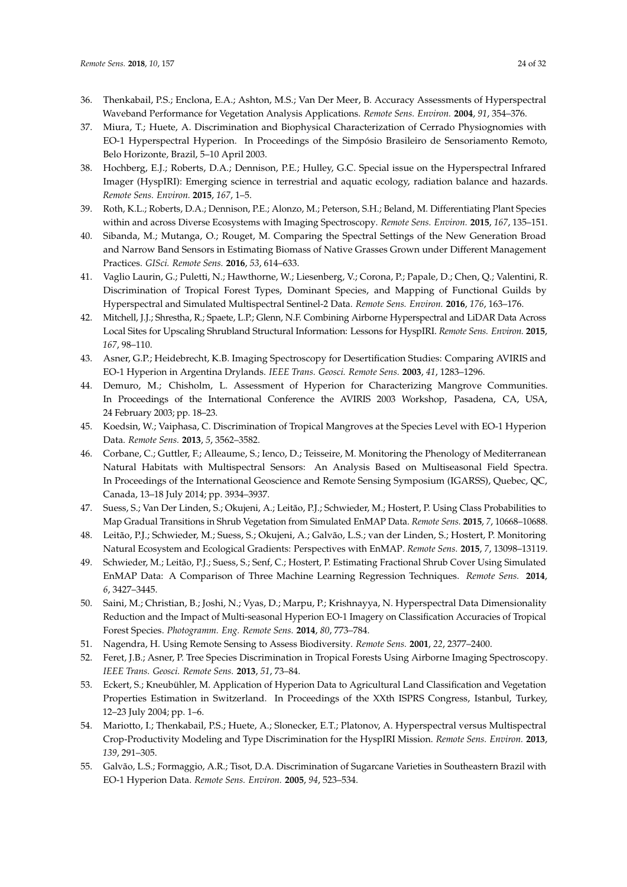- <span id="page-23-0"></span>36. Thenkabail, P.S.; Enclona, E.A.; Ashton, M.S.; Van Der Meer, B. Accuracy Assessments of Hyperspectral Waveband Performance for Vegetation Analysis Applications. *Remote Sens. Environ.* **2004**, *91*, 354–376.
- <span id="page-23-1"></span>37. Miura, T.; Huete, A. Discrimination and Biophysical Characterization of Cerrado Physiognomies with EO-1 Hyperspectral Hyperion. In Proceedings of the Simpósio Brasileiro de Sensoriamento Remoto, Belo Horizonte, Brazil, 5–10 April 2003.
- <span id="page-23-2"></span>38. Hochberg, E.J.; Roberts, D.A.; Dennison, P.E.; Hulley, G.C. Special issue on the Hyperspectral Infrared Imager (HyspIRI): Emerging science in terrestrial and aquatic ecology, radiation balance and hazards. *Remote Sens. Environ.* **2015**, *167*, 1–5.
- <span id="page-23-3"></span>39. Roth, K.L.; Roberts, D.A.; Dennison, P.E.; Alonzo, M.; Peterson, S.H.; Beland, M. Differentiating Plant Species within and across Diverse Ecosystems with Imaging Spectroscopy. *Remote Sens. Environ.* **2015**, *167*, 135–151.
- <span id="page-23-4"></span>40. Sibanda, M.; Mutanga, O.; Rouget, M. Comparing the Spectral Settings of the New Generation Broad and Narrow Band Sensors in Estimating Biomass of Native Grasses Grown under Different Management Practices. *GISci. Remote Sens.* **2016**, *53*, 614–633.
- <span id="page-23-5"></span>41. Vaglio Laurin, G.; Puletti, N.; Hawthorne, W.; Liesenberg, V.; Corona, P.; Papale, D.; Chen, Q.; Valentini, R. Discrimination of Tropical Forest Types, Dominant Species, and Mapping of Functional Guilds by Hyperspectral and Simulated Multispectral Sentinel-2 Data. *Remote Sens. Environ.* **2016**, *176*, 163–176.
- <span id="page-23-6"></span>42. Mitchell, J.J.; Shrestha, R.; Spaete, L.P.; Glenn, N.F. Combining Airborne Hyperspectral and LiDAR Data Across Local Sites for Upscaling Shrubland Structural Information: Lessons for HyspIRI. *Remote Sens. Environ.* **2015**, *167*, 98–110.
- <span id="page-23-7"></span>43. Asner, G.P.; Heidebrecht, K.B. Imaging Spectroscopy for Desertification Studies: Comparing AVIRIS and EO-1 Hyperion in Argentina Drylands. *IEEE Trans. Geosci. Remote Sens.* **2003**, *41*, 1283–1296.
- <span id="page-23-8"></span>44. Demuro, M.; Chisholm, L. Assessment of Hyperion for Characterizing Mangrove Communities. In Proceedings of the International Conference the AVIRIS 2003 Workshop, Pasadena, CA, USA, 24 February 2003; pp. 18–23.
- <span id="page-23-9"></span>45. Koedsin, W.; Vaiphasa, C. Discrimination of Tropical Mangroves at the Species Level with EO-1 Hyperion Data. *Remote Sens.* **2013**, *5*, 3562–3582.
- <span id="page-23-10"></span>46. Corbane, C.; Guttler, F.; Alleaume, S.; Ienco, D.; Teisseire, M. Monitoring the Phenology of Mediterranean Natural Habitats with Multispectral Sensors: An Analysis Based on Multiseasonal Field Spectra. In Proceedings of the International Geoscience and Remote Sensing Symposium (IGARSS), Quebec, QC, Canada, 13–18 July 2014; pp. 3934–3937.
- <span id="page-23-11"></span>47. Suess, S.; Van Der Linden, S.; Okujeni, A.; Leitão, P.J.; Schwieder, M.; Hostert, P. Using Class Probabilities to Map Gradual Transitions in Shrub Vegetation from Simulated EnMAP Data. *Remote Sens.* **2015**, *7*, 10668–10688.
- <span id="page-23-12"></span>48. Leitão, P.J.; Schwieder, M.; Suess, S.; Okujeni, A.; Galvão, L.S.; van der Linden, S.; Hostert, P. Monitoring Natural Ecosystem and Ecological Gradients: Perspectives with EnMAP. *Remote Sens.* **2015**, *7*, 13098–13119.
- <span id="page-23-13"></span>49. Schwieder, M.; Leitão, P.J.; Suess, S.; Senf, C.; Hostert, P. Estimating Fractional Shrub Cover Using Simulated EnMAP Data: A Comparison of Three Machine Learning Regression Techniques. *Remote Sens.* **2014**, *6*, 3427–3445.
- <span id="page-23-14"></span>50. Saini, M.; Christian, B.; Joshi, N.; Vyas, D.; Marpu, P.; Krishnayya, N. Hyperspectral Data Dimensionality Reduction and the Impact of Multi-seasonal Hyperion EO-1 Imagery on Classification Accuracies of Tropical Forest Species. *Photogramm. Eng. Remote Sens.* **2014**, *80*, 773–784.
- <span id="page-23-15"></span>51. Nagendra, H. Using Remote Sensing to Assess Biodiversity. *Remote Sens.* **2001**, *22*, 2377–2400.
- 52. Feret, J.B.; Asner, P. Tree Species Discrimination in Tropical Forests Using Airborne Imaging Spectroscopy. *IEEE Trans. Geosci. Remote Sens.* **2013**, *51*, 73–84.
- <span id="page-23-16"></span>53. Eckert, S.; Kneubühler, M. Application of Hyperion Data to Agricultural Land Classification and Vegetation Properties Estimation in Switzerland. In Proceedings of the XXth ISPRS Congress, Istanbul, Turkey, 12–23 July 2004; pp. 1–6.
- <span id="page-23-17"></span>54. Mariotto, I.; Thenkabail, P.S.; Huete, A.; Slonecker, E.T.; Platonov, A. Hyperspectral versus Multispectral Crop-Productivity Modeling and Type Discrimination for the HyspIRI Mission. *Remote Sens. Environ.* **2013**, *139*, 291–305.
- <span id="page-23-18"></span>55. Galvão, L.S.; Formaggio, A.R.; Tisot, D.A. Discrimination of Sugarcane Varieties in Southeastern Brazil with EO-1 Hyperion Data. *Remote Sens. Environ.* **2005**, *94*, 523–534.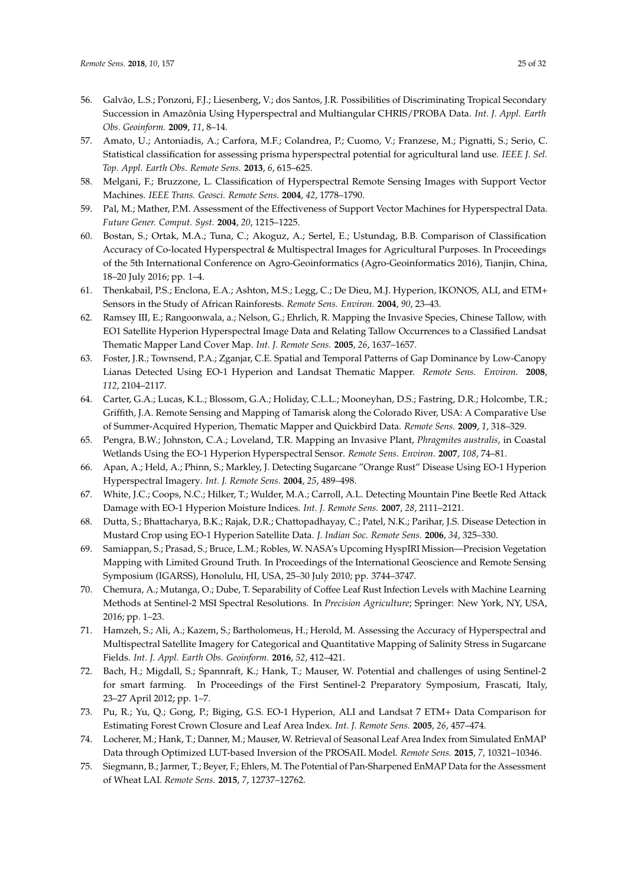- <span id="page-24-0"></span>56. Galvão, L.S.; Ponzoni, F.J.; Liesenberg, V.; dos Santos, J.R. Possibilities of Discriminating Tropical Secondary Succession in Amazônia Using Hyperspectral and Multiangular CHRIS/PROBA Data. *Int. J. Appl. Earth Obs. Geoinform.* **2009**, *11*, 8–14.
- <span id="page-24-1"></span>57. Amato, U.; Antoniadis, A.; Carfora, M.F.; Colandrea, P.; Cuomo, V.; Franzese, M.; Pignatti, S.; Serio, C. Statistical classification for assessing prisma hyperspectral potential for agricultural land use. *IEEE J. Sel. Top. Appl. Earth Obs. Remote Sens.* **2013**, *6*, 615–625.
- <span id="page-24-2"></span>58. Melgani, F.; Bruzzone, L. Classification of Hyperspectral Remote Sensing Images with Support Vector Machines. *IEEE Trans. Geosci. Remote Sens.* **2004**, *42*, 1778–1790.
- <span id="page-24-3"></span>59. Pal, M.; Mather, P.M. Assessment of the Effectiveness of Support Vector Machines for Hyperspectral Data. *Future Gener. Comput. Syst.* **2004**, *20*, 1215–1225.
- <span id="page-24-4"></span>60. Bostan, S.; Ortak, M.A.; Tuna, C.; Akoguz, A.; Sertel, E.; Ustundag, B.B. Comparison of Classification Accuracy of Co-located Hyperspectral & Multispectral Images for Agricultural Purposes. In Proceedings of the 5th International Conference on Agro-Geoinformatics (Agro-Geoinformatics 2016), Tianjin, China, 18–20 July 2016; pp. 1–4.
- <span id="page-24-5"></span>61. Thenkabail, P.S.; Enclona, E.A.; Ashton, M.S.; Legg, C.; De Dieu, M.J. Hyperion, IKONOS, ALI, and ETM+ Sensors in the Study of African Rainforests. *Remote Sens. Environ.* **2004**, *90*, 23–43.
- <span id="page-24-6"></span>62. Ramsey III, E.; Rangoonwala, a.; Nelson, G.; Ehrlich, R. Mapping the Invasive Species, Chinese Tallow, with EO1 Satellite Hyperion Hyperspectral Image Data and Relating Tallow Occurrences to a Classified Landsat Thematic Mapper Land Cover Map. *Int. J. Remote Sens.* **2005**, *26*, 1637–1657.
- <span id="page-24-7"></span>63. Foster, J.R.; Townsend, P.A.; Zganjar, C.E. Spatial and Temporal Patterns of Gap Dominance by Low-Canopy Lianas Detected Using EO-1 Hyperion and Landsat Thematic Mapper. *Remote Sens. Environ.* **2008**, *112*, 2104–2117.
- <span id="page-24-8"></span>64. Carter, G.A.; Lucas, K.L.; Blossom, G.A.; Holiday, C.L.L.; Mooneyhan, D.S.; Fastring, D.R.; Holcombe, T.R.; Griffith, J.A. Remote Sensing and Mapping of Tamarisk along the Colorado River, USA: A Comparative Use of Summer-Acquired Hyperion, Thematic Mapper and Quickbird Data. *Remote Sens.* **2009**, *1*, 318–329.
- <span id="page-24-9"></span>65. Pengra, B.W.; Johnston, C.A.; Loveland, T.R. Mapping an Invasive Plant, *Phragmites australis*, in Coastal Wetlands Using the EO-1 Hyperion Hyperspectral Sensor. *Remote Sens. Environ.* **2007**, *108*, 74–81.
- <span id="page-24-10"></span>66. Apan, A.; Held, A.; Phinn, S.; Markley, J. Detecting Sugarcane "Orange Rust" Disease Using EO-1 Hyperion Hyperspectral Imagery. *Int. J. Remote Sens.* **2004**, *25*, 489–498.
- <span id="page-24-11"></span>67. White, J.C.; Coops, N.C.; Hilker, T.; Wulder, M.A.; Carroll, A.L. Detecting Mountain Pine Beetle Red Attack Damage with EO-1 Hyperion Moisture Indices. *Int. J. Remote Sens.* **2007**, *28*, 2111–2121.
- <span id="page-24-12"></span>68. Dutta, S.; Bhattacharya, B.K.; Rajak, D.R.; Chattopadhayay, C.; Patel, N.K.; Parihar, J.S. Disease Detection in Mustard Crop using EO-1 Hyperion Satellite Data. *J. Indian Soc. Remote Sens.* **2006**, *34*, 325–330.
- <span id="page-24-13"></span>69. Samiappan, S.; Prasad, S.; Bruce, L.M.; Robles, W. NASA's Upcoming HyspIRI Mission—Precision Vegetation Mapping with Limited Ground Truth. In Proceedings of the International Geoscience and Remote Sensing Symposium (IGARSS), Honolulu, HI, USA, 25–30 July 2010; pp. 3744–3747.
- <span id="page-24-14"></span>70. Chemura, A.; Mutanga, O.; Dube, T. Separability of Coffee Leaf Rust Infection Levels with Machine Learning Methods at Sentinel-2 MSI Spectral Resolutions. In *Precision Agriculture*; Springer: New York, NY, USA, 2016; pp. 1–23.
- <span id="page-24-15"></span>71. Hamzeh, S.; Ali, A.; Kazem, S.; Bartholomeus, H.; Herold, M. Assessing the Accuracy of Hyperspectral and Multispectral Satellite Imagery for Categorical and Quantitative Mapping of Salinity Stress in Sugarcane Fields. *Int. J. Appl. Earth Obs. Geoinform.* **2016**, *52*, 412–421.
- <span id="page-24-16"></span>72. Bach, H.; Migdall, S.; Spannraft, K.; Hank, T.; Mauser, W. Potential and challenges of using Sentinel-2 for smart farming. In Proceedings of the First Sentinel-2 Preparatory Symposium, Frascati, Italy, 23–27 April 2012; pp. 1–7.
- <span id="page-24-17"></span>73. Pu, R.; Yu, Q.; Gong, P.; Biging, G.S. EO-1 Hyperion, ALI and Landsat 7 ETM+ Data Comparison for Estimating Forest Crown Closure and Leaf Area Index. *Int. J. Remote Sens.* **2005**, *26*, 457–474.
- <span id="page-24-18"></span>74. Locherer, M.; Hank, T.; Danner, M.; Mauser, W. Retrieval of Seasonal Leaf Area Index from Simulated EnMAP Data through Optimized LUT-based Inversion of the PROSAIL Model. *Remote Sens.* **2015**, *7*, 10321–10346.
- <span id="page-24-19"></span>75. Siegmann, B.; Jarmer, T.; Beyer, F.; Ehlers, M. The Potential of Pan-Sharpened EnMAP Data for the Assessment of Wheat LAI. *Remote Sens.* **2015**, *7*, 12737–12762.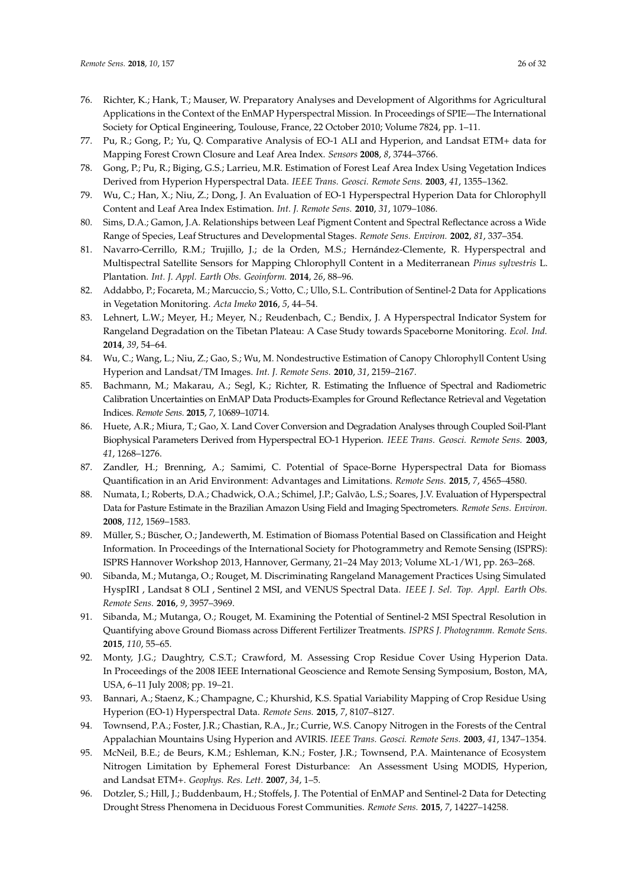- <span id="page-25-0"></span>76. Richter, K.; Hank, T.; Mauser, W. Preparatory Analyses and Development of Algorithms for Agricultural Applications in the Context of the EnMAP Hyperspectral Mission. In Proceedings of SPIE—The International Society for Optical Engineering, Toulouse, France, 22 October 2010; Volume 7824, pp. 1–11.
- <span id="page-25-1"></span>77. Pu, R.; Gong, P.; Yu, Q. Comparative Analysis of EO-1 ALI and Hyperion, and Landsat ETM+ data for Mapping Forest Crown Closure and Leaf Area Index. *Sensors* **2008**, *8*, 3744–3766.
- <span id="page-25-2"></span>78. Gong, P.; Pu, R.; Biging, G.S.; Larrieu, M.R. Estimation of Forest Leaf Area Index Using Vegetation Indices Derived from Hyperion Hyperspectral Data. *IEEE Trans. Geosci. Remote Sens.* **2003**, *41*, 1355–1362.
- <span id="page-25-3"></span>79. Wu, C.; Han, X.; Niu, Z.; Dong, J. An Evaluation of EO-1 Hyperspectral Hyperion Data for Chlorophyll Content and Leaf Area Index Estimation. *Int. J. Remote Sens.* **2010**, *31*, 1079–1086.
- <span id="page-25-4"></span>80. Sims, D.A.; Gamon, J.A. Relationships between Leaf Pigment Content and Spectral Reflectance across a Wide Range of Species, Leaf Structures and Developmental Stages. *Remote Sens. Environ.* **2002**, *81*, 337–354.
- <span id="page-25-5"></span>81. Navarro-Cerrillo, R.M.; Trujillo, J.; de la Orden, M.S.; Hernández-Clemente, R. Hyperspectral and Multispectral Satellite Sensors for Mapping Chlorophyll Content in a Mediterranean *Pinus sylvestris* L. Plantation. *Int. J. Appl. Earth Obs. Geoinform.* **2014**, *26*, 88–96.
- <span id="page-25-6"></span>82. Addabbo, P.; Focareta, M.; Marcuccio, S.; Votto, C.; Ullo, S.L. Contribution of Sentinel-2 Data for Applications in Vegetation Monitoring. *Acta Imeko* **2016**, *5*, 44–54.
- <span id="page-25-7"></span>83. Lehnert, L.W.; Meyer, H.; Meyer, N.; Reudenbach, C.; Bendix, J. A Hyperspectral Indicator System for Rangeland Degradation on the Tibetan Plateau: A Case Study towards Spaceborne Monitoring. *Ecol. Ind.* **2014**, *39*, 54–64.
- <span id="page-25-8"></span>84. Wu, C.; Wang, L.; Niu, Z.; Gao, S.; Wu, M. Nondestructive Estimation of Canopy Chlorophyll Content Using Hyperion and Landsat/TM Images. *Int. J. Remote Sens.* **2010**, *31*, 2159–2167.
- <span id="page-25-9"></span>85. Bachmann, M.; Makarau, A.; Segl, K.; Richter, R. Estimating the Influence of Spectral and Radiometric Calibration Uncertainties on EnMAP Data Products-Examples for Ground Reflectance Retrieval and Vegetation Indices. *Remote Sens.* **2015**, *7*, 10689–10714.
- <span id="page-25-10"></span>86. Huete, A.R.; Miura, T.; Gao, X. Land Cover Conversion and Degradation Analyses through Coupled Soil-Plant Biophysical Parameters Derived from Hyperspectral EO-1 Hyperion. *IEEE Trans. Geosci. Remote Sens.* **2003**, *41*, 1268–1276.
- <span id="page-25-11"></span>87. Zandler, H.; Brenning, A.; Samimi, C. Potential of Space-Borne Hyperspectral Data for Biomass Quantification in an Arid Environment: Advantages and Limitations. *Remote Sens.* **2015**, *7*, 4565–4580.
- <span id="page-25-12"></span>88. Numata, I.; Roberts, D.A.; Chadwick, O.A.; Schimel, J.P.; Galvão, L.S.; Soares, J.V. Evaluation of Hyperspectral Data for Pasture Estimate in the Brazilian Amazon Using Field and Imaging Spectrometers. *Remote Sens. Environ.* **2008**, *112*, 1569–1583.
- <span id="page-25-13"></span>89. Müller, S.; Büscher, O.; Jandewerth, M. Estimation of Biomass Potential Based on Classification and Height Information. In Proceedings of the International Society for Photogrammetry and Remote Sensing (ISPRS): ISPRS Hannover Workshop 2013, Hannover, Germany, 21–24 May 2013; Volume XL-1/W1, pp. 263–268.
- <span id="page-25-14"></span>90. Sibanda, M.; Mutanga, O.; Rouget, M. Discriminating Rangeland Management Practices Using Simulated HyspIRI , Landsat 8 OLI , Sentinel 2 MSI, and VENUS Spectral Data. *IEEE J. Sel. Top. Appl. Earth Obs. Remote Sens.* **2016**, *9*, 3957–3969.
- <span id="page-25-15"></span>91. Sibanda, M.; Mutanga, O.; Rouget, M. Examining the Potential of Sentinel-2 MSI Spectral Resolution in Quantifying above Ground Biomass across Different Fertilizer Treatments. *ISPRS J. Photogramm. Remote Sens.* **2015**, *110*, 55–65.
- <span id="page-25-16"></span>92. Monty, J.G.; Daughtry, C.S.T.; Crawford, M. Assessing Crop Residue Cover Using Hyperion Data. In Proceedings of the 2008 IEEE International Geoscience and Remote Sensing Symposium, Boston, MA, USA, 6–11 July 2008; pp. 19–21.
- <span id="page-25-17"></span>93. Bannari, A.; Staenz, K.; Champagne, C.; Khurshid, K.S. Spatial Variability Mapping of Crop Residue Using Hyperion (EO-1) Hyperspectral Data. *Remote Sens.* **2015**, *7*, 8107–8127.
- <span id="page-25-18"></span>94. Townsend, P.A.; Foster, J.R.; Chastian, R.A., Jr.; Currie, W.S. Canopy Nitrogen in the Forests of the Central Appalachian Mountains Using Hyperion and AVIRIS. *IEEE Trans. Geosci. Remote Sens.* **2003**, *41*, 1347–1354.
- <span id="page-25-19"></span>95. McNeil, B.E.; de Beurs, K.M.; Eshleman, K.N.; Foster, J.R.; Townsend, P.A. Maintenance of Ecosystem Nitrogen Limitation by Ephemeral Forest Disturbance: An Assessment Using MODIS, Hyperion, and Landsat ETM+. *Geophys. Res. Lett.* **2007**, *34*, 1–5.
- <span id="page-25-20"></span>96. Dotzler, S.; Hill, J.; Buddenbaum, H.; Stoffels, J. The Potential of EnMAP and Sentinel-2 Data for Detecting Drought Stress Phenomena in Deciduous Forest Communities. *Remote Sens.* **2015**, *7*, 14227–14258.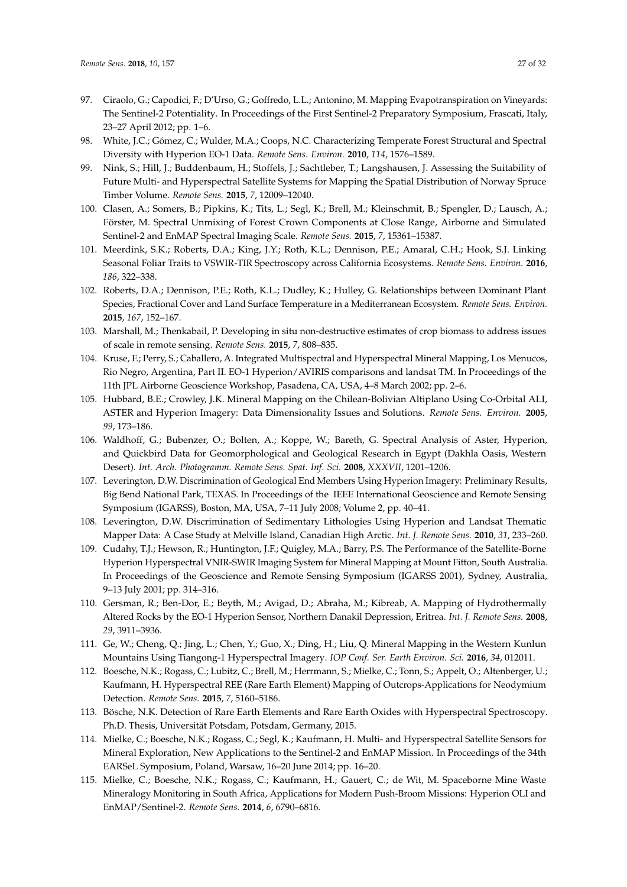- <span id="page-26-0"></span>97. Ciraolo, G.; Capodici, F.; D'Urso, G.; Goffredo, L.L.; Antonino, M. Mapping Evapotranspiration on Vineyards: The Sentinel-2 Potentiality. In Proceedings of the First Sentinel-2 Preparatory Symposium, Frascati, Italy, 23–27 April 2012; pp. 1–6.
- <span id="page-26-1"></span>98. White, J.C.; Gómez, C.; Wulder, M.A.; Coops, N.C. Characterizing Temperate Forest Structural and Spectral Diversity with Hyperion EO-1 Data. *Remote Sens. Environ.* **2010**, *114*, 1576–1589.
- <span id="page-26-2"></span>99. Nink, S.; Hill, J.; Buddenbaum, H.; Stoffels, J.; Sachtleber, T.; Langshausen, J. Assessing the Suitability of Future Multi- and Hyperspectral Satellite Systems for Mapping the Spatial Distribution of Norway Spruce Timber Volume. *Remote Sens.* **2015**, *7*, 12009–12040.
- <span id="page-26-3"></span>100. Clasen, A.; Somers, B.; Pipkins, K.; Tits, L.; Segl, K.; Brell, M.; Kleinschmit, B.; Spengler, D.; Lausch, A.; Förster, M. Spectral Unmixing of Forest Crown Components at Close Range, Airborne and Simulated Sentinel-2 and EnMAP Spectral Imaging Scale. *Remote Sens.* **2015**, *7*, 15361–15387.
- <span id="page-26-4"></span>101. Meerdink, S.K.; Roberts, D.A.; King, J.Y.; Roth, K.L.; Dennison, P.E.; Amaral, C.H.; Hook, S.J. Linking Seasonal Foliar Traits to VSWIR-TIR Spectroscopy across California Ecosystems. *Remote Sens. Environ.* **2016**, *186*, 322–338.
- <span id="page-26-5"></span>102. Roberts, D.A.; Dennison, P.E.; Roth, K.L.; Dudley, K.; Hulley, G. Relationships between Dominant Plant Species, Fractional Cover and Land Surface Temperature in a Mediterranean Ecosystem. *Remote Sens. Environ.* **2015**, *167*, 152–167.
- <span id="page-26-6"></span>103. Marshall, M.; Thenkabail, P. Developing in situ non-destructive estimates of crop biomass to address issues of scale in remote sensing. *Remote Sens.* **2015**, *7*, 808–835.
- <span id="page-26-7"></span>104. Kruse, F.; Perry, S.; Caballero, A. Integrated Multispectral and Hyperspectral Mineral Mapping, Los Menucos, Rio Negro, Argentina, Part II. EO-1 Hyperion/AVIRIS comparisons and landsat TM. In Proceedings of the 11th JPL Airborne Geoscience Workshop, Pasadena, CA, USA, 4–8 March 2002; pp. 2–6.
- <span id="page-26-8"></span>105. Hubbard, B.E.; Crowley, J.K. Mineral Mapping on the Chilean-Bolivian Altiplano Using Co-Orbital ALI, ASTER and Hyperion Imagery: Data Dimensionality Issues and Solutions. *Remote Sens. Environ.* **2005**, *99*, 173–186.
- <span id="page-26-9"></span>106. Waldhoff, G.; Bubenzer, O.; Bolten, A.; Koppe, W.; Bareth, G. Spectral Analysis of Aster, Hyperion, and Quickbird Data for Geomorphological and Geological Research in Egypt (Dakhla Oasis, Western Desert). *Int. Arch. Photogramm. Remote Sens. Spat. Inf. Sci.* **2008**, *XXXVII*, 1201–1206.
- <span id="page-26-10"></span>107. Leverington, D.W. Discrimination of Geological End Members Using Hyperion Imagery: Preliminary Results, Big Bend National Park, TEXAS. In Proceedings of the IEEE International Geoscience and Remote Sensing Symposium (IGARSS), Boston, MA, USA, 7–11 July 2008; Volume 2, pp. 40–41.
- <span id="page-26-11"></span>108. Leverington, D.W. Discrimination of Sedimentary Lithologies Using Hyperion and Landsat Thematic Mapper Data: A Case Study at Melville Island, Canadian High Arctic. *Int. J. Remote Sens.* **2010**, *31*, 233–260.
- <span id="page-26-12"></span>109. Cudahy, T.J.; Hewson, R.; Huntington, J.F.; Quigley, M.A.; Barry, P.S. The Performance of the Satellite-Borne Hyperion Hyperspectral VNIR-SWIR Imaging System for Mineral Mapping at Mount Fitton, South Australia. In Proceedings of the Geoscience and Remote Sensing Symposium (IGARSS 2001), Sydney, Australia, 9–13 July 2001; pp. 314–316.
- <span id="page-26-13"></span>110. Gersman, R.; Ben-Dor, E.; Beyth, M.; Avigad, D.; Abraha, M.; Kibreab, A. Mapping of Hydrothermally Altered Rocks by the EO-1 Hyperion Sensor, Northern Danakil Depression, Eritrea. *Int. J. Remote Sens.* **2008**, *29*, 3911–3936.
- <span id="page-26-14"></span>111. Ge, W.; Cheng, Q.; Jing, L.; Chen, Y.; Guo, X.; Ding, H.; Liu, Q. Mineral Mapping in the Western Kunlun Mountains Using Tiangong-1 Hyperspectral Imagery. *IOP Conf. Ser. Earth Environ. Sci.* **2016**, *34*, 012011.
- <span id="page-26-15"></span>112. Boesche, N.K.; Rogass, C.; Lubitz, C.; Brell, M.; Herrmann, S.; Mielke, C.; Tonn, S.; Appelt, O.; Altenberger, U.; Kaufmann, H. Hyperspectral REE (Rare Earth Element) Mapping of Outcrops-Applications for Neodymium Detection. *Remote Sens.* **2015**, *7*, 5160–5186.
- <span id="page-26-16"></span>113. Bösche, N.K. Detection of Rare Earth Elements and Rare Earth Oxides with Hyperspectral Spectroscopy. Ph.D. Thesis, Universität Potsdam, Potsdam, Germany, 2015.
- <span id="page-26-17"></span>114. Mielke, C.; Boesche, N.K.; Rogass, C.; Segl, K.; Kaufmann, H. Multi- and Hyperspectral Satellite Sensors for Mineral Exploration, New Applications to the Sentinel-2 and EnMAP Mission. In Proceedings of the 34th EARSeL Symposium, Poland, Warsaw, 16–20 June 2014; pp. 16–20.
- <span id="page-26-18"></span>115. Mielke, C.; Boesche, N.K.; Rogass, C.; Kaufmann, H.; Gauert, C.; de Wit, M. Spaceborne Mine Waste Mineralogy Monitoring in South Africa, Applications for Modern Push-Broom Missions: Hyperion OLI and EnMAP/Sentinel-2. *Remote Sens.* **2014**, *6*, 6790–6816.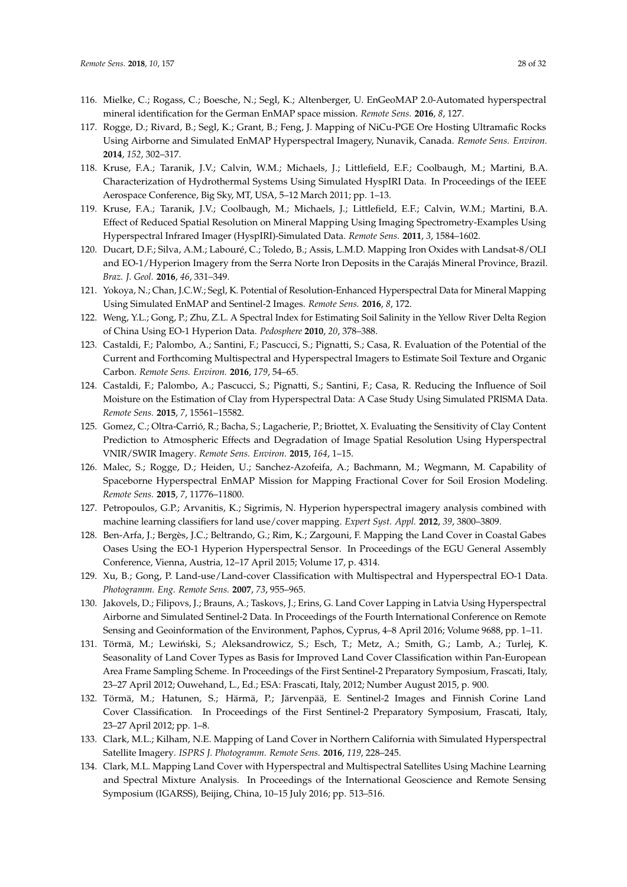- <span id="page-27-0"></span>116. Mielke, C.; Rogass, C.; Boesche, N.; Segl, K.; Altenberger, U. EnGeoMAP 2.0-Automated hyperspectral mineral identification for the German EnMAP space mission. *Remote Sens.* **2016**, *8*, 127.
- <span id="page-27-1"></span>117. Rogge, D.; Rivard, B.; Segl, K.; Grant, B.; Feng, J. Mapping of NiCu-PGE Ore Hosting Ultramafic Rocks Using Airborne and Simulated EnMAP Hyperspectral Imagery, Nunavik, Canada. *Remote Sens. Environ.* **2014**, *152*, 302–317.
- <span id="page-27-2"></span>118. Kruse, F.A.; Taranik, J.V.; Calvin, W.M.; Michaels, J.; Littlefield, E.F.; Coolbaugh, M.; Martini, B.A. Characterization of Hydrothermal Systems Using Simulated HyspIRI Data. In Proceedings of the IEEE Aerospace Conference, Big Sky, MT, USA, 5–12 March 2011; pp. 1–13.
- <span id="page-27-3"></span>119. Kruse, F.A.; Taranik, J.V.; Coolbaugh, M.; Michaels, J.; Littlefield, E.F.; Calvin, W.M.; Martini, B.A. Effect of Reduced Spatial Resolution on Mineral Mapping Using Imaging Spectrometry-Examples Using Hyperspectral Infrared Imager (HyspIRI)-Simulated Data. *Remote Sens.* **2011**, *3*, 1584–1602.
- <span id="page-27-4"></span>120. Ducart, D.F.; Silva, A.M.; Labouré, C.; Toledo, B.; Assis, L.M.D. Mapping Iron Oxides with Landsat-8/OLI and EO-1/Hyperion Imagery from the Serra Norte Iron Deposits in the Carajás Mineral Province, Brazil. *Braz. J. Geol.* **2016**, *46*, 331–349.
- <span id="page-27-5"></span>121. Yokoya, N.; Chan, J.C.W.; Segl, K. Potential of Resolution-Enhanced Hyperspectral Data for Mineral Mapping Using Simulated EnMAP and Sentinel-2 Images. *Remote Sens.* **2016**, *8*, 172.
- <span id="page-27-6"></span>122. Weng, Y.L.; Gong, P.; Zhu, Z.L. A Spectral Index for Estimating Soil Salinity in the Yellow River Delta Region of China Using EO-1 Hyperion Data. *Pedosphere* **2010**, *20*, 378–388.
- <span id="page-27-7"></span>123. Castaldi, F.; Palombo, A.; Santini, F.; Pascucci, S.; Pignatti, S.; Casa, R. Evaluation of the Potential of the Current and Forthcoming Multispectral and Hyperspectral Imagers to Estimate Soil Texture and Organic Carbon. *Remote Sens. Environ.* **2016**, *179*, 54–65.
- <span id="page-27-8"></span>124. Castaldi, F.; Palombo, A.; Pascucci, S.; Pignatti, S.; Santini, F.; Casa, R. Reducing the Influence of Soil Moisture on the Estimation of Clay from Hyperspectral Data: A Case Study Using Simulated PRISMA Data. *Remote Sens.* **2015**, *7*, 15561–15582.
- <span id="page-27-9"></span>125. Gomez, C.; Oltra-Carrió, R.; Bacha, S.; Lagacherie, P.; Briottet, X. Evaluating the Sensitivity of Clay Content Prediction to Atmospheric Effects and Degradation of Image Spatial Resolution Using Hyperspectral VNIR/SWIR Imagery. *Remote Sens. Environ.* **2015**, *164*, 1–15.
- <span id="page-27-10"></span>126. Malec, S.; Rogge, D.; Heiden, U.; Sanchez-Azofeifa, A.; Bachmann, M.; Wegmann, M. Capability of Spaceborne Hyperspectral EnMAP Mission for Mapping Fractional Cover for Soil Erosion Modeling. *Remote Sens.* **2015**, *7*, 11776–11800.
- <span id="page-27-11"></span>127. Petropoulos, G.P.; Arvanitis, K.; Sigrimis, N. Hyperion hyperspectral imagery analysis combined with machine learning classifiers for land use/cover mapping. *Expert Syst. Appl.* **2012**, *39*, 3800–3809.
- <span id="page-27-12"></span>128. Ben-Arfa, J.; Bergès, J.C.; Beltrando, G.; Rim, K.; Zargouni, F. Mapping the Land Cover in Coastal Gabes Oases Using the EO-1 Hyperion Hyperspectral Sensor. In Proceedings of the EGU General Assembly Conference, Vienna, Austria, 12–17 April 2015; Volume 17, p. 4314.
- <span id="page-27-13"></span>129. Xu, B.; Gong, P. Land-use/Land-cover Classification with Multispectral and Hyperspectral EO-1 Data. *Photogramm. Eng. Remote Sens.* **2007**, *73*, 955–965.
- <span id="page-27-14"></span>130. Jakovels, D.; Filipovs, J.; Brauns, A.; Taskovs, J.; Erins, G. Land Cover Lapping in Latvia Using Hyperspectral Airborne and Simulated Sentinel-2 Data. In Proceedings of the Fourth International Conference on Remote Sensing and Geoinformation of the Environment, Paphos, Cyprus, 4–8 April 2016; Volume 9688, pp. 1–11.
- <span id="page-27-15"></span>131. Törmä, M.; Lewiński, S.; Aleksandrowicz, S.; Esch, T.; Metz, A.; Smith, G.; Lamb, A.; Turlej, K. Seasonality of Land Cover Types as Basis for Improved Land Cover Classification within Pan-European Area Frame Sampling Scheme. In Proceedings of the First Sentinel-2 Preparatory Symposium, Frascati, Italy, 23–27 April 2012; Ouwehand, L., Ed.; ESA: Frascati, Italy, 2012; Number August 2015, p. 900.
- <span id="page-27-16"></span>132. Törmä, M.; Hatunen, S.; Härmä, P.; Järvenpää, E. Sentinel-2 Images and Finnish Corine Land Cover Classification. In Proceedings of the First Sentinel-2 Preparatory Symposium, Frascati, Italy, 23–27 April 2012; pp. 1–8.
- <span id="page-27-17"></span>133. Clark, M.L.; Kilham, N.E. Mapping of Land Cover in Northern California with Simulated Hyperspectral Satellite Imagery. *ISPRS J. Photogramm. Remote Sens.* **2016**, *119*, 228–245.
- <span id="page-27-18"></span>134. Clark, M.L. Mapping Land Cover with Hyperspectral and Multispectral Satellites Using Machine Learning and Spectral Mixture Analysis. In Proceedings of the International Geoscience and Remote Sensing Symposium (IGARSS), Beijing, China, 10–15 July 2016; pp. 513–516.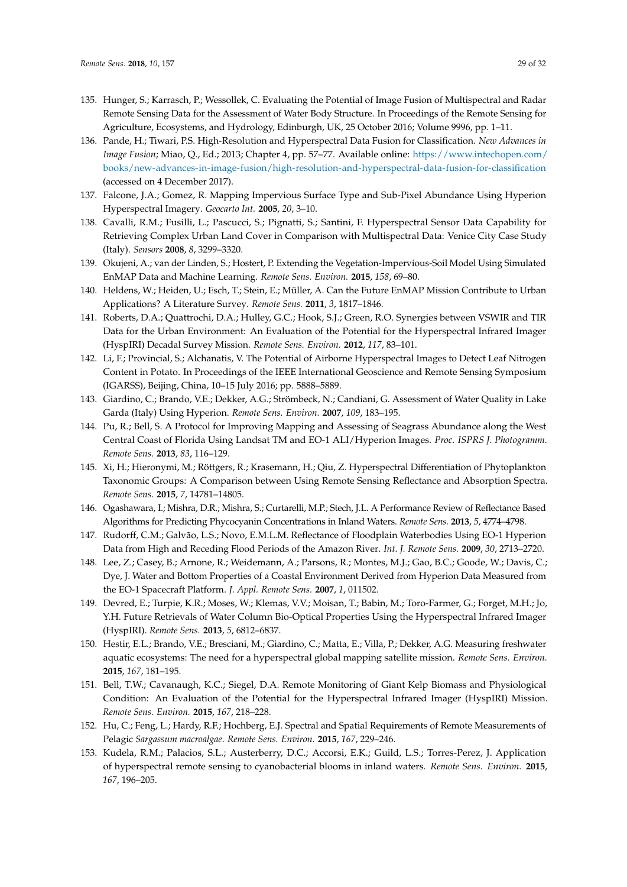- <span id="page-28-0"></span>135. Hunger, S.; Karrasch, P.; Wessollek, C. Evaluating the Potential of Image Fusion of Multispectral and Radar Remote Sensing Data for the Assessment of Water Body Structure. In Proceedings of the Remote Sensing for Agriculture, Ecosystems, and Hydrology, Edinburgh, UK, 25 October 2016; Volume 9996, pp. 1–11.
- <span id="page-28-1"></span>136. Pande, H.; Tiwari, P.S. High-Resolution and Hyperspectral Data Fusion for Classification. *New Advances in Image Fusion*; Miao, Q., Ed.; 2013; Chapter 4, pp. 57–77. Available online: [https://www.intechopen.com/](https://www.intechopen.com/books/new-advances-in-image-fusion/high-resolution-and-hyperspectral-data-fusion-for-classification) [books/new-advances-in-image-fusion/high-resolution-and-hyperspectral-data-fusion-for-classification](https://www.intechopen.com/books/new-advances-in-image-fusion/high-resolution-and-hyperspectral-data-fusion-for-classification) (accessed on 4 December 2017).
- <span id="page-28-2"></span>137. Falcone, J.A.; Gomez, R. Mapping Impervious Surface Type and Sub-Pixel Abundance Using Hyperion Hyperspectral Imagery. *Geocarto Int.* **2005**, *20*, 3–10.
- <span id="page-28-3"></span>138. Cavalli, R.M.; Fusilli, L.; Pascucci, S.; Pignatti, S.; Santini, F. Hyperspectral Sensor Data Capability for Retrieving Complex Urban Land Cover in Comparison with Multispectral Data: Venice City Case Study (Italy). *Sensors* **2008**, *8*, 3299–3320.
- <span id="page-28-4"></span>139. Okujeni, A.; van der Linden, S.; Hostert, P. Extending the Vegetation-Impervious-Soil Model Using Simulated EnMAP Data and Machine Learning. *Remote Sens. Environ.* **2015**, *158*, 69–80.
- <span id="page-28-5"></span>140. Heldens, W.; Heiden, U.; Esch, T.; Stein, E.; Müller, A. Can the Future EnMAP Mission Contribute to Urban Applications? A Literature Survey. *Remote Sens.* **2011**, *3*, 1817–1846.
- <span id="page-28-6"></span>141. Roberts, D.A.; Quattrochi, D.A.; Hulley, G.C.; Hook, S.J.; Green, R.O. Synergies between VSWIR and TIR Data for the Urban Environment: An Evaluation of the Potential for the Hyperspectral Infrared Imager (HyspIRI) Decadal Survey Mission. *Remote Sens. Environ.* **2012**, *117*, 83–101.
- <span id="page-28-7"></span>142. Li, F.; Provincial, S.; Alchanatis, V. The Potential of Airborne Hyperspectral Images to Detect Leaf Nitrogen Content in Potato. In Proceedings of the IEEE International Geoscience and Remote Sensing Symposium (IGARSS), Beijing, China, 10–15 July 2016; pp. 5888–5889.
- <span id="page-28-8"></span>143. Giardino, C.; Brando, V.E.; Dekker, A.G.; Strömbeck, N.; Candiani, G. Assessment of Water Quality in Lake Garda (Italy) Using Hyperion. *Remote Sens. Environ.* **2007**, *109*, 183–195.
- <span id="page-28-9"></span>144. Pu, R.; Bell, S. A Protocol for Improving Mapping and Assessing of Seagrass Abundance along the West Central Coast of Florida Using Landsat TM and EO-1 ALI/Hyperion Images. *Proc. ISPRS J. Photogramm. Remote Sens.* **2013**, *83*, 116–129.
- <span id="page-28-17"></span>145. Xi, H.; Hieronymi, M.; Röttgers, R.; Krasemann, H.; Qiu, Z. Hyperspectral Differentiation of Phytoplankton Taxonomic Groups: A Comparison between Using Remote Sensing Reflectance and Absorption Spectra. *Remote Sens.* **2015**, *7*, 14781–14805.
- <span id="page-28-10"></span>146. Ogashawara, I.; Mishra, D.R.; Mishra, S.; Curtarelli, M.P.; Stech, J.L. A Performance Review of Reflectance Based Algorithms for Predicting Phycocyanin Concentrations in Inland Waters. *Remote Sens.* **2013**, *5*, 4774–4798.
- <span id="page-28-11"></span>147. Rudorff, C.M.; Galvão, L.S.; Novo, E.M.L.M. Reflectance of Floodplain Waterbodies Using EO-1 Hyperion Data from High and Receding Flood Periods of the Amazon River. *Int. J. Remote Sens.* **2009**, *30*, 2713–2720.
- <span id="page-28-12"></span>148. Lee, Z.; Casey, B.; Arnone, R.; Weidemann, A.; Parsons, R.; Montes, M.J.; Gao, B.C.; Goode, W.; Davis, C.; Dye, J. Water and Bottom Properties of a Coastal Environment Derived from Hyperion Data Measured from the EO-1 Spacecraft Platform. *J. Appl. Remote Sens.* **2007**, *1*, 011502.
- <span id="page-28-13"></span>149. Devred, E.; Turpie, K.R.; Moses, W.; Klemas, V.V.; Moisan, T.; Babin, M.; Toro-Farmer, G.; Forget, M.H.; Jo, Y.H. Future Retrievals of Water Column Bio-Optical Properties Using the Hyperspectral Infrared Imager (HyspIRI). *Remote Sens.* **2013**, *5*, 6812–6837.
- <span id="page-28-14"></span>150. Hestir, E.L.; Brando, V.E.; Bresciani, M.; Giardino, C.; Matta, E.; Villa, P.; Dekker, A.G. Measuring freshwater aquatic ecosystems: The need for a hyperspectral global mapping satellite mission. *Remote Sens. Environ.* **2015**, *167*, 181–195.
- 151. Bell, T.W.; Cavanaugh, K.C.; Siegel, D.A. Remote Monitoring of Giant Kelp Biomass and Physiological Condition: An Evaluation of the Potential for the Hyperspectral Infrared Imager (HyspIRI) Mission. *Remote Sens. Environ.* **2015**, *167*, 218–228.
- <span id="page-28-15"></span>152. Hu, C.; Feng, L.; Hardy, R.F.; Hochberg, E.J. Spectral and Spatial Requirements of Remote Measurements of Pelagic *Sargassum macroalgae*. *Remote Sens. Environ.* **2015**, *167*, 229–246.
- <span id="page-28-16"></span>153. Kudela, R.M.; Palacios, S.L.; Austerberry, D.C.; Accorsi, E.K.; Guild, L.S.; Torres-Perez, J. Application of hyperspectral remote sensing to cyanobacterial blooms in inland waters. *Remote Sens. Environ.* **2015**, *167*, 196–205.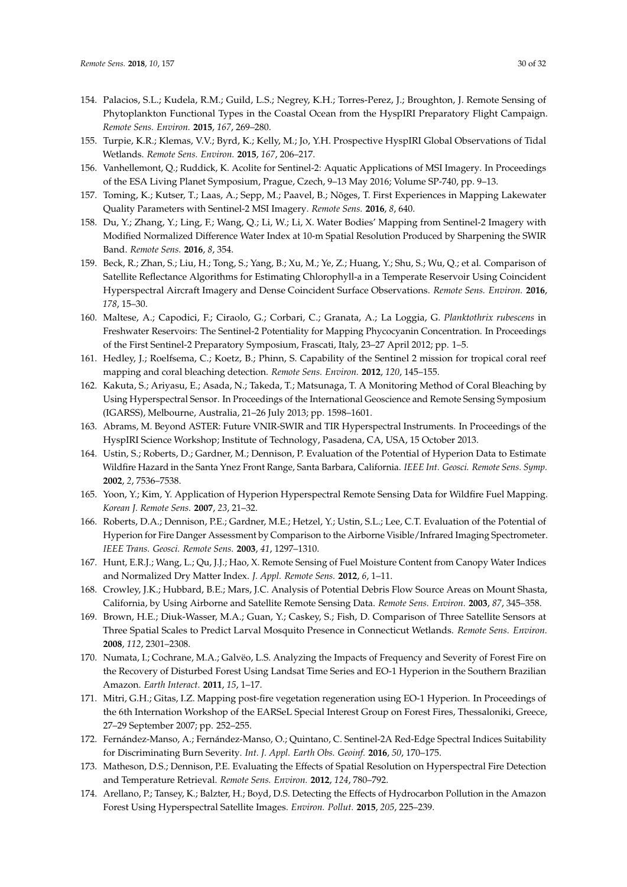- <span id="page-29-0"></span>154. Palacios, S.L.; Kudela, R.M.; Guild, L.S.; Negrey, K.H.; Torres-Perez, J.; Broughton, J. Remote Sensing of Phytoplankton Functional Types in the Coastal Ocean from the HyspIRI Preparatory Flight Campaign. *Remote Sens. Environ.* **2015**, *167*, 269–280.
- <span id="page-29-1"></span>155. Turpie, K.R.; Klemas, V.V.; Byrd, K.; Kelly, M.; Jo, Y.H. Prospective HyspIRI Global Observations of Tidal Wetlands. *Remote Sens. Environ.* **2015**, *167*, 206–217.
- <span id="page-29-2"></span>156. Vanhellemont, Q.; Ruddick, K. Acolite for Sentinel-2: Aquatic Applications of MSI Imagery. In Proceedings of the ESA Living Planet Symposium, Prague, Czech, 9–13 May 2016; Volume SP-740, pp. 9–13.
- <span id="page-29-3"></span>157. Toming, K.; Kutser, T.; Laas, A.; Sepp, M.; Paavel, B.; Nõges, T. First Experiences in Mapping Lakewater Quality Parameters with Sentinel-2 MSI Imagery. *Remote Sens.* **2016**, *8*, 640.
- <span id="page-29-4"></span>158. Du, Y.; Zhang, Y.; Ling, F.; Wang, Q.; Li, W.; Li, X. Water Bodies' Mapping from Sentinel-2 Imagery with Modified Normalized Difference Water Index at 10-m Spatial Resolution Produced by Sharpening the SWIR Band. *Remote Sens.* **2016**, *8*, 354.
- <span id="page-29-5"></span>159. Beck, R.; Zhan, S.; Liu, H.; Tong, S.; Yang, B.; Xu, M.; Ye, Z.; Huang, Y.; Shu, S.; Wu, Q.; et al. Comparison of Satellite Reflectance Algorithms for Estimating Chlorophyll-a in a Temperate Reservoir Using Coincident Hyperspectral Aircraft Imagery and Dense Coincident Surface Observations. *Remote Sens. Environ.* **2016**, *178*, 15–30.
- <span id="page-29-6"></span>160. Maltese, A.; Capodici, F.; Ciraolo, G.; Corbari, C.; Granata, A.; La Loggia, G. *Planktothrix rubescens* in Freshwater Reservoirs: The Sentinel-2 Potentiality for Mapping Phycocyanin Concentration. In Proceedings of the First Sentinel-2 Preparatory Symposium, Frascati, Italy, 23–27 April 2012; pp. 1–5.
- <span id="page-29-7"></span>161. Hedley, J.; Roelfsema, C.; Koetz, B.; Phinn, S. Capability of the Sentinel 2 mission for tropical coral reef mapping and coral bleaching detection. *Remote Sens. Environ.* **2012**, *120*, 145–155.
- <span id="page-29-8"></span>162. Kakuta, S.; Ariyasu, E.; Asada, N.; Takeda, T.; Matsunaga, T. A Monitoring Method of Coral Bleaching by Using Hyperspectral Sensor. In Proceedings of the International Geoscience and Remote Sensing Symposium (IGARSS), Melbourne, Australia, 21–26 July 2013; pp. 1598–1601.
- <span id="page-29-9"></span>163. Abrams, M. Beyond ASTER: Future VNIR-SWIR and TIR Hyperspectral Instruments. In Proceedings of the HyspIRI Science Workshop; Institute of Technology, Pasadena, CA, USA, 15 October 2013.
- <span id="page-29-10"></span>164. Ustin, S.; Roberts, D.; Gardner, M.; Dennison, P. Evaluation of the Potential of Hyperion Data to Estimate Wildfire Hazard in the Santa Ynez Front Range, Santa Barbara, California. *IEEE Int. Geosci. Remote Sens. Symp.* **2002**, *2*, 7536–7538.
- <span id="page-29-11"></span>165. Yoon, Y.; Kim, Y. Application of Hyperion Hyperspectral Remote Sensing Data for Wildfire Fuel Mapping. *Korean J. Remote Sens.* **2007**, *23*, 21–32.
- <span id="page-29-12"></span>166. Roberts, D.A.; Dennison, P.E.; Gardner, M.E.; Hetzel, Y.; Ustin, S.L.; Lee, C.T. Evaluation of the Potential of Hyperion for Fire Danger Assessment by Comparison to the Airborne Visible/Infrared Imaging Spectrometer. *IEEE Trans. Geosci. Remote Sens.* **2003**, *41*, 1297–1310.
- <span id="page-29-13"></span>167. Hunt, E.R.J.; Wang, L.; Qu, J.J.; Hao, X. Remote Sensing of Fuel Moisture Content from Canopy Water Indices and Normalized Dry Matter Index. *J. Appl. Remote Sens.* **2012**, *6*, 1–11.
- <span id="page-29-14"></span>168. Crowley, J.K.; Hubbard, B.E.; Mars, J.C. Analysis of Potential Debris Flow Source Areas on Mount Shasta, California, by Using Airborne and Satellite Remote Sensing Data. *Remote Sens. Environ.* **2003**, *87*, 345–358.
- <span id="page-29-15"></span>169. Brown, H.E.; Diuk-Wasser, M.A.; Guan, Y.; Caskey, S.; Fish, D. Comparison of Three Satellite Sensors at Three Spatial Scales to Predict Larval Mosquito Presence in Connecticut Wetlands. *Remote Sens. Environ.* **2008**, *112*, 2301–2308.
- <span id="page-29-16"></span>170. Numata, I.; Cochrane, M.A.; Galvëo, L.S. Analyzing the Impacts of Frequency and Severity of Forest Fire on the Recovery of Disturbed Forest Using Landsat Time Series and EO-1 Hyperion in the Southern Brazilian Amazon. *Earth Interact.* **2011**, *15*, 1–17.
- <span id="page-29-17"></span>171. Mitri, G.H.; Gitas, I.Z. Mapping post-fire vegetation regeneration using EO-1 Hyperion. In Proceedings of the 6th Internation Workshop of the EARSeL Special Interest Group on Forest Fires, Thessaloniki, Greece, 27–29 September 2007; pp. 252–255.
- <span id="page-29-18"></span>172. Fernández-Manso, A.; Fernández-Manso, O.; Quintano, C. Sentinel-2A Red-Edge Spectral Indices Suitability for Discriminating Burn Severity. *Int. J. Appl. Earth Obs. Geoinf.* **2016**, *50*, 170–175.
- <span id="page-29-19"></span>173. Matheson, D.S.; Dennison, P.E. Evaluating the Effects of Spatial Resolution on Hyperspectral Fire Detection and Temperature Retrieval. *Remote Sens. Environ.* **2012**, *124*, 780–792.
- <span id="page-29-20"></span>174. Arellano, P.; Tansey, K.; Balzter, H.; Boyd, D.S. Detecting the Effects of Hydrocarbon Pollution in the Amazon Forest Using Hyperspectral Satellite Images. *Environ. Pollut.* **2015**, *205*, 225–239.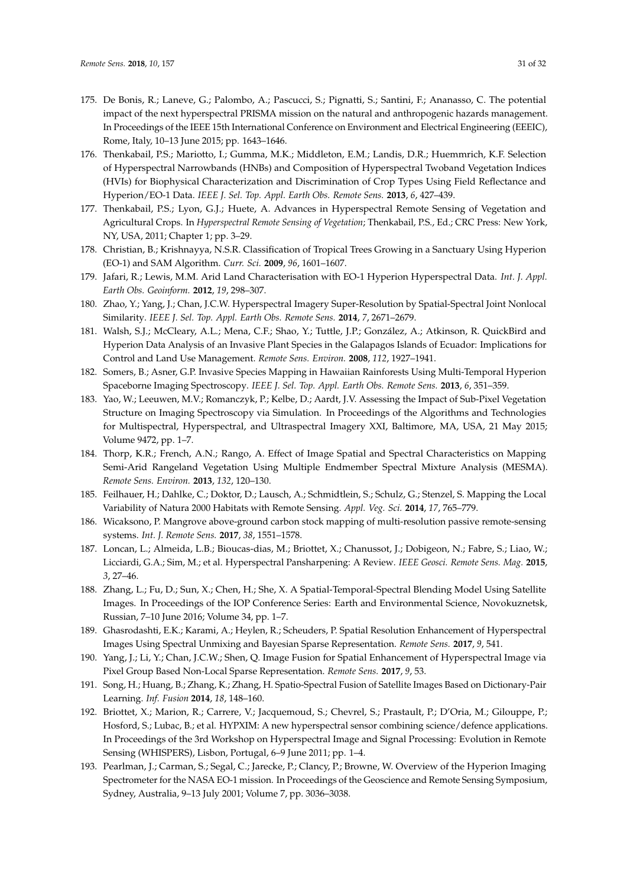- <span id="page-30-0"></span>175. De Bonis, R.; Laneve, G.; Palombo, A.; Pascucci, S.; Pignatti, S.; Santini, F.; Ananasso, C. The potential impact of the next hyperspectral PRISMA mission on the natural and anthropogenic hazards management. In Proceedings of the IEEE 15th International Conference on Environment and Electrical Engineering (EEEIC), Rome, Italy, 10–13 June 2015; pp. 1643–1646.
- <span id="page-30-1"></span>176. Thenkabail, P.S.; Mariotto, I.; Gumma, M.K.; Middleton, E.M.; Landis, D.R.; Huemmrich, K.F. Selection of Hyperspectral Narrowbands (HNBs) and Composition of Hyperspectral Twoband Vegetation Indices (HVIs) for Biophysical Characterization and Discrimination of Crop Types Using Field Reflectance and Hyperion/EO-1 Data. *IEEE J. Sel. Top. Appl. Earth Obs. Remote Sens.* **2013**, *6*, 427–439.
- <span id="page-30-2"></span>177. Thenkabail, P.S.; Lyon, G.J.; Huete, A. Advances in Hyperspectral Remote Sensing of Vegetation and Agricultural Crops. In *Hyperspectral Remote Sensing of Vegetation*; Thenkabail, P.S., Ed.; CRC Press: New York, NY, USA, 2011; Chapter 1; pp. 3–29.
- <span id="page-30-3"></span>178. Christian, B.; Krishnayya, N.S.R. Classification of Tropical Trees Growing in a Sanctuary Using Hyperion (EO-1) and SAM Algorithm. *Curr. Sci.* **2009**, *96*, 1601–1607.
- <span id="page-30-4"></span>179. Jafari, R.; Lewis, M.M. Arid Land Characterisation with EO-1 Hyperion Hyperspectral Data. *Int. J. Appl. Earth Obs. Geoinform.* **2012**, *19*, 298–307.
- <span id="page-30-5"></span>180. Zhao, Y.; Yang, J.; Chan, J.C.W. Hyperspectral Imagery Super-Resolution by Spatial-Spectral Joint Nonlocal Similarity. *IEEE J. Sel. Top. Appl. Earth Obs. Remote Sens.* **2014**, *7*, 2671–2679.
- <span id="page-30-6"></span>181. Walsh, S.J.; McCleary, A.L.; Mena, C.F.; Shao, Y.; Tuttle, J.P.; González, A.; Atkinson, R. QuickBird and Hyperion Data Analysis of an Invasive Plant Species in the Galapagos Islands of Ecuador: Implications for Control and Land Use Management. *Remote Sens. Environ.* **2008**, *112*, 1927–1941.
- <span id="page-30-7"></span>182. Somers, B.; Asner, G.P. Invasive Species Mapping in Hawaiian Rainforests Using Multi-Temporal Hyperion Spaceborne Imaging Spectroscopy. *IEEE J. Sel. Top. Appl. Earth Obs. Remote Sens.* **2013**, *6*, 351–359.
- <span id="page-30-8"></span>183. Yao, W.; Leeuwen, M.V.; Romanczyk, P.; Kelbe, D.; Aardt, J.V. Assessing the Impact of Sub-Pixel Vegetation Structure on Imaging Spectroscopy via Simulation. In Proceedings of the Algorithms and Technologies for Multispectral, Hyperspectral, and Ultraspectral Imagery XXI, Baltimore, MA, USA, 21 May 2015; Volume 9472, pp. 1–7.
- <span id="page-30-9"></span>184. Thorp, K.R.; French, A.N.; Rango, A. Effect of Image Spatial and Spectral Characteristics on Mapping Semi-Arid Rangeland Vegetation Using Multiple Endmember Spectral Mixture Analysis (MESMA). *Remote Sens. Environ.* **2013**, *132*, 120–130.
- <span id="page-30-10"></span>185. Feilhauer, H.; Dahlke, C.; Doktor, D.; Lausch, A.; Schmidtlein, S.; Schulz, G.; Stenzel, S. Mapping the Local Variability of Natura 2000 Habitats with Remote Sensing. *Appl. Veg. Sci.* **2014**, *17*, 765–779.
- <span id="page-30-11"></span>186. Wicaksono, P. Mangrove above-ground carbon stock mapping of multi-resolution passive remote-sensing systems. *Int. J. Remote Sens.* **2017**, *38*, 1551–1578.
- <span id="page-30-12"></span>187. Loncan, L.; Almeida, L.B.; Bioucas-dias, M.; Briottet, X.; Chanussot, J.; Dobigeon, N.; Fabre, S.; Liao, W.; Licciardi, G.A.; Sim, M.; et al. Hyperspectral Pansharpening: A Review. *IEEE Geosci. Remote Sens. Mag.* **2015**, *3*, 27–46.
- 188. Zhang, L.; Fu, D.; Sun, X.; Chen, H.; She, X. A Spatial-Temporal-Spectral Blending Model Using Satellite Images. In Proceedings of the IOP Conference Series: Earth and Environmental Science, Novokuznetsk, Russian, 7–10 June 2016; Volume 34, pp. 1–7.
- <span id="page-30-13"></span>189. Ghasrodashti, E.K.; Karami, A.; Heylen, R.; Scheuders, P. Spatial Resolution Enhancement of Hyperspectral Images Using Spectral Unmixing and Bayesian Sparse Representation. *Remote Sens.* **2017**, *9*, 541.
- <span id="page-30-14"></span>190. Yang, J.; Li, Y.; Chan, J.C.W.; Shen, Q. Image Fusion for Spatial Enhancement of Hyperspectral Image via Pixel Group Based Non-Local Sparse Representation. *Remote Sens.* **2017**, *9*, 53.
- <span id="page-30-15"></span>191. Song, H.; Huang, B.; Zhang, K.; Zhang, H. Spatio-Spectral Fusion of Satellite Images Based on Dictionary-Pair Learning. *Inf. Fusion* **2014**, *18*, 148–160.
- <span id="page-30-16"></span>192. Briottet, X.; Marion, R.; Carrere, V.; Jacquemoud, S.; Chevrel, S.; Prastault, P.; D'Oria, M.; Gilouppe, P.; Hosford, S.; Lubac, B.; et al. HYPXIM: A new hyperspectral sensor combining science/defence applications. In Proceedings of the 3rd Workshop on Hyperspectral Image and Signal Processing: Evolution in Remote Sensing (WHISPERS), Lisbon, Portugal, 6–9 June 2011; pp. 1–4.
- <span id="page-30-17"></span>193. Pearlman, J.; Carman, S.; Segal, C.; Jarecke, P.; Clancy, P.; Browne, W. Overview of the Hyperion Imaging Spectrometer for the NASA EO-1 mission. In Proceedings of the Geoscience and Remote Sensing Symposium, Sydney, Australia, 9–13 July 2001; Volume 7, pp. 3036–3038.